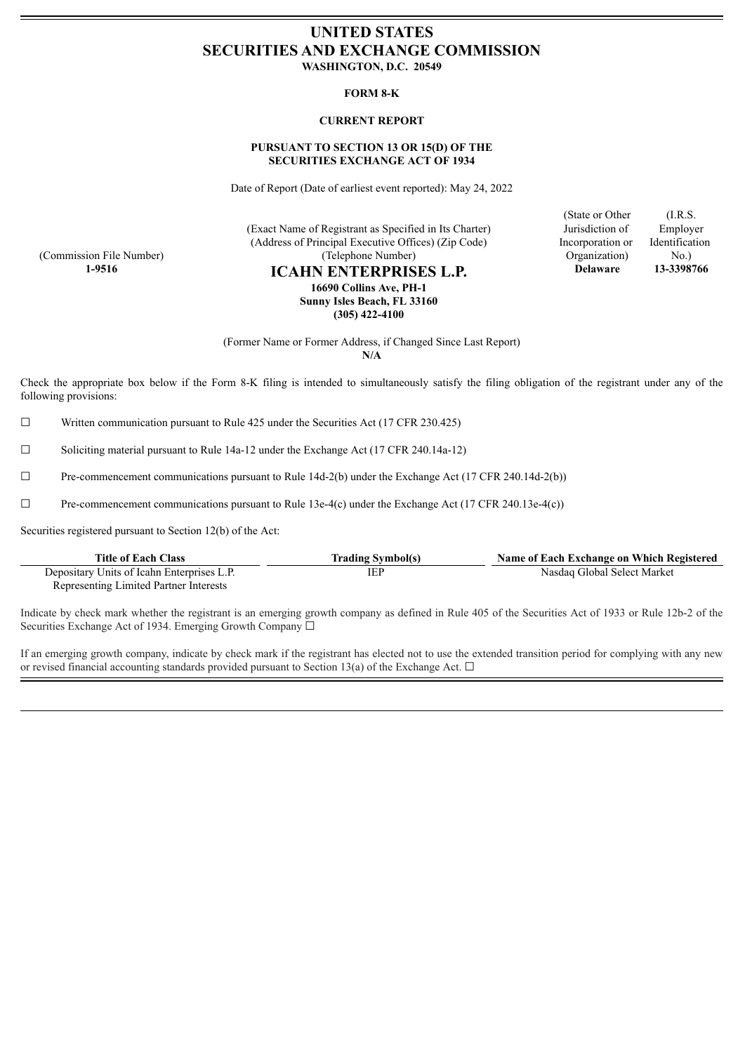# **UNITED STATES SECURITIES AND EXCHANGE COMMISSION WASHINGTON, D.C. 20549**

## **FORM 8-K**

# **CURRENT REPORT**

# **PURSUANT TO SECTION 13 OR 15(D) OF THE SECURITIES EXCHANGE ACT OF 1934**

Date of Report (Date of earliest event reported): May 24, 2022

(Exact Name of Registrant as Specified in Its Charter) (Address of Principal Executive Offices) (Zip Code) (Telephone Number)

(Commission File Number)

**1-9516 ICAHN ENTERPRISES L.P. 16690 Collins Ave, PH-1 Sunny Isles Beach, FL 33160**

**(305) 422-4100**

(Former Name or Former Address, if Changed Since Last Report)

**N/A**

Check the appropriate box below if the Form 8-K filing is intended to simultaneously satisfy the filing obligation of the registrant under any of the following provisions:

 $\Box$  Written communication pursuant to Rule 425 under the Securities Act (17 CFR 230.425)

 $\Box$  Soliciting material pursuant to Rule 14a-12 under the Exchange Act (17 CFR 240.14a-12)

 $\Box$  Pre-commencement communications pursuant to Rule 14d-2(b) under the Exchange Act (17 CFR 240.14d-2(b))

☐ Pre-commencement communications pursuant to Rule 13e-4(c) under the Exchange Act (17 CFR 240.13e-4(c))

Securities registered pursuant to Section 12(b) of the Act:

| <b>Title of Each Class</b>                 | <b>Trading Symbol(s)</b> | Name of Each Exchange on Which Registered |
|--------------------------------------------|--------------------------|-------------------------------------------|
| Depositary Units of Icahn Enterprises L.P. | IEP                      | Nasdaq Global Select Market               |
| Representing Limited Partner Interests     |                          |                                           |

Indicate by check mark whether the registrant is an emerging growth company as defined in Rule 405 of the Securities Act of 1933 or Rule 12b-2 of the Securities Exchange Act of 1934. Emerging Growth Company □

If an emerging growth company, indicate by check mark if the registrant has elected not to use the extended transition period for complying with any new or revised financial accounting standards provided pursuant to Section 13(a) of the Exchange Act.  $\Box$ 

(State or Other Jurisdiction of Incorporation or Organization) **Delaware 13-3398766**

(I.R.S. Employer Identification No.)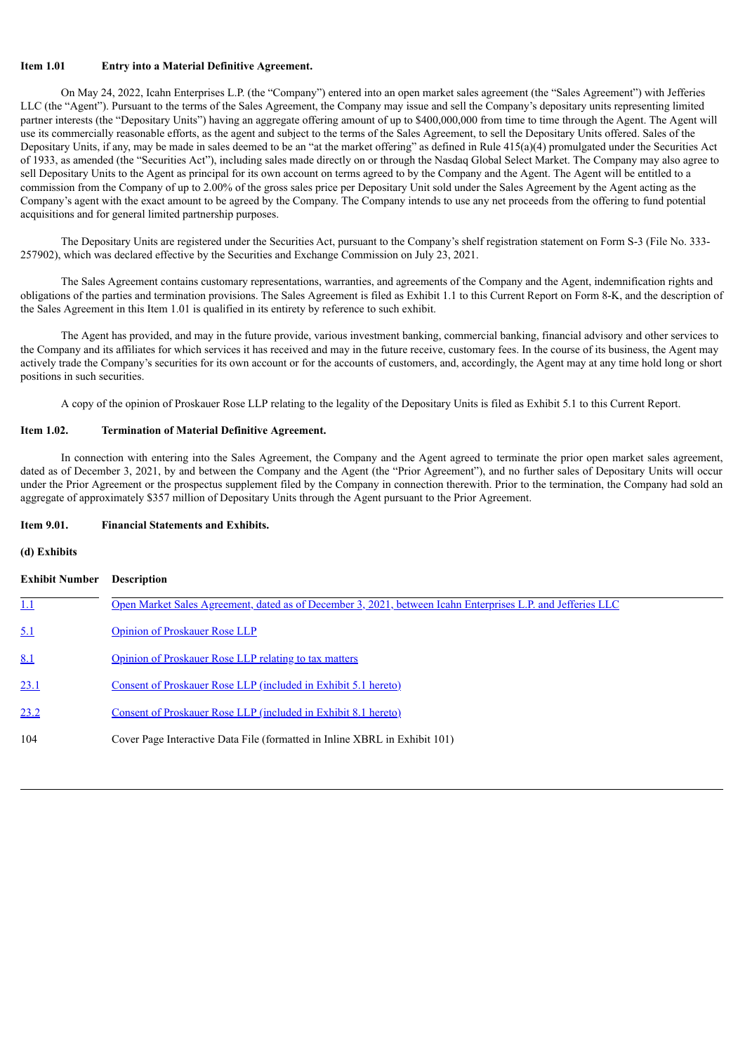## **Item 1.01 Entry into a Material Definitive Agreement.**

On May 24, 2022, Icahn Enterprises L.P. (the "Company") entered into an open market sales agreement (the "Sales Agreement") with Jefferies LLC (the "Agent"). Pursuant to the terms of the Sales Agreement, the Company may issue and sell the Company's depositary units representing limited partner interests (the "Depositary Units") having an aggregate offering amount of up to \$400,000,000 from time to time through the Agent. The Agent will use its commercially reasonable efforts, as the agent and subject to the terms of the Sales Agreement, to sell the Depositary Units offered. Sales of the Depositary Units, if any, may be made in sales deemed to be an "at the market offering" as defined in Rule  $415(a)(4)$  promulgated under the Securities Act of 1933, as amended (the "Securities Act"), including sales made directly on or through the Nasdaq Global Select Market. The Company may also agree to sell Depositary Units to the Agent as principal for its own account on terms agreed to by the Company and the Agent. The Agent will be entitled to a commission from the Company of up to 2.00% of the gross sales price per Depositary Unit sold under the Sales Agreement by the Agent acting as the Company's agent with the exact amount to be agreed by the Company. The Company intends to use any net proceeds from the offering to fund potential acquisitions and for general limited partnership purposes.

The Depositary Units are registered under the Securities Act, pursuant to the Company's shelf registration statement on Form S-3 (File No. 333- 257902), which was declared effective by the Securities and Exchange Commission on July 23, 2021.

The Sales Agreement contains customary representations, warranties, and agreements of the Company and the Agent, indemnification rights and obligations of the parties and termination provisions. The Sales Agreement is filed as Exhibit 1.1 to this Current Report on Form 8-K, and the description of the Sales Agreement in this Item 1.01 is qualified in its entirety by reference to such exhibit.

The Agent has provided, and may in the future provide, various investment banking, commercial banking, financial advisory and other services to the Company and its affiliates for which services it has received and may in the future receive, customary fees. In the course of its business, the Agent may actively trade the Company's securities for its own account or for the accounts of customers, and, accordingly, the Agent may at any time hold long or short positions in such securities.

A copy of the opinion of Proskauer Rose LLP relating to the legality of the Depositary Units is filed as Exhibit 5.1 to this Current Report.

# **Item 1.02. Termination of Material Definitive Agreement.**

In connection with entering into the Sales Agreement, the Company and the Agent agreed to terminate the prior open market sales agreement, dated as of December 3, 2021, by and between the Company and the Agent (the "Prior Agreement"), and no further sales of Depositary Units will occur under the Prior Agreement or the prospectus supplement filed by the Company in connection therewith. Prior to the termination, the Company had sold an aggregate of approximately \$357 million of Depositary Units through the Agent pursuant to the Prior Agreement.

### **Item 9.01. Financial Statements and Exhibits.**

## **(d) Exhibits**

| <b>Exhibit Number</b> | <b>Description</b>                                                                                          |
|-----------------------|-------------------------------------------------------------------------------------------------------------|
|                       | Open Market Sales Agreement, dated as of December 3, 2021, between Icahn Enterprises L.P. and Jefferies LLC |
| <u>5.1</u>            | <b>Opinion of Proskauer Rose LLP</b>                                                                        |
| 8.1                   | Opinion of Proskauer Rose LLP relating to tax matters                                                       |
| 23.1                  | Consent of Proskauer Rose LLP (included in Exhibit 5.1 hereto)                                              |
| 23.2                  | Consent of Proskauer Rose LLP (included in Exhibit 8.1 hereto)                                              |
| 104                   | Cover Page Interactive Data File (formatted in Inline XBRL in Exhibit 101)                                  |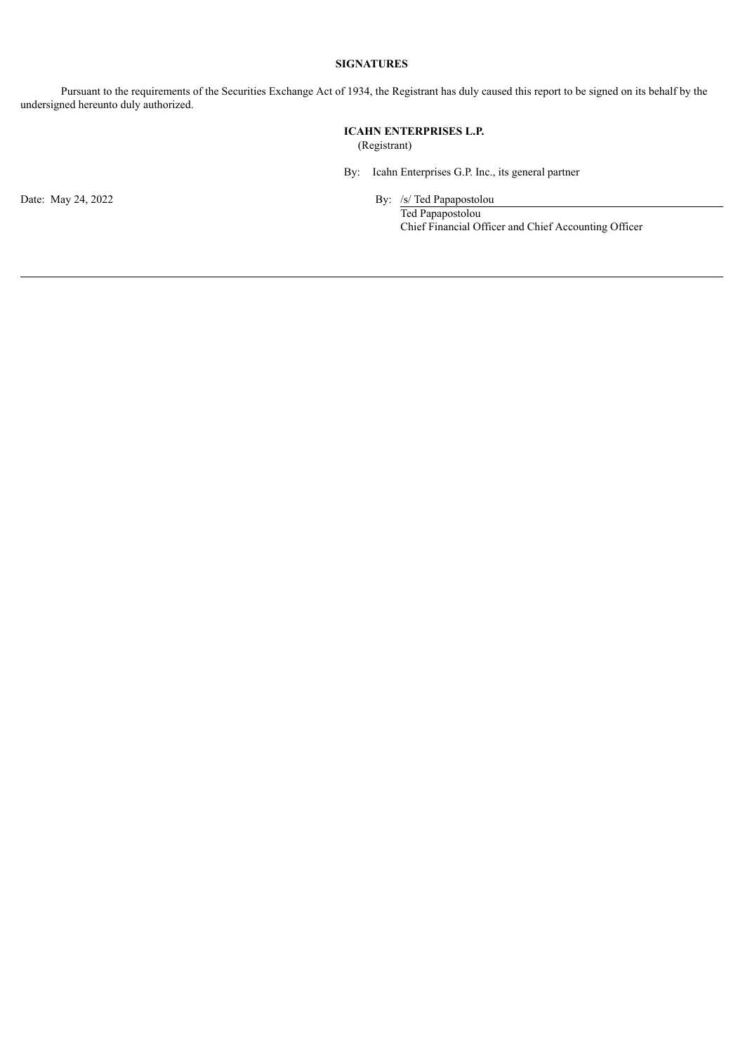# **SIGNATURES**

Pursuant to the requirements of the Securities Exchange Act of 1934, the Registrant has duly caused this report to be signed on its behalf by the undersigned hereunto duly authorized.

> **ICAHN ENTERPRISES L.P.** (Registrant)

By: Icahn Enterprises G.P. Inc., its general partner

Date: May 24, 2022 By: /s/ Ted Papapostolou

Ted Papapostolou Chief Financial Officer and Chief Accounting Officer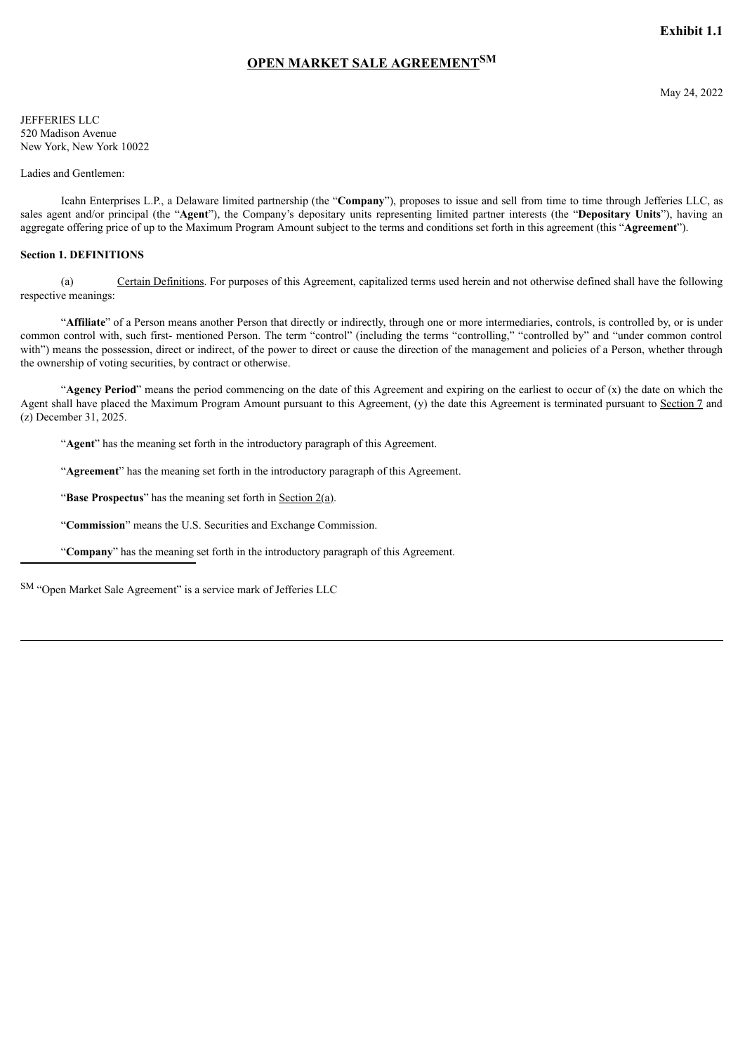# **Exhibit 1.1**

# **OPEN MARKET SALE AGREEMENTSM**

<span id="page-3-0"></span>JEFFERIES LLC 520 Madison Avenue New York, New York 10022

Ladies and Gentlemen:

Icahn Enterprises L.P., a Delaware limited partnership (the "**Company**"), proposes to issue and sell from time to time through Jefferies LLC, as sales agent and/or principal (the "**Agent**"), the Company's depositary units representing limited partner interests (the "**Depositary Units**"), having an aggregate offering price of up to the Maximum Program Amount subject to the terms and conditions set forth in this agreement (this "**Agreement**").

### **Section 1. DEFINITIONS**

(a) Certain Definitions. For purposes of this Agreement, capitalized terms used herein and not otherwise defined shall have the following respective meanings:

"**Affiliate**" of a Person means another Person that directly or indirectly, through one or more intermediaries, controls, is controlled by, or is under common control with, such first- mentioned Person. The term "control" (including the terms "controlling," "controlled by" and "under common control with") means the possession, direct or indirect, of the power to direct or cause the direction of the management and policies of a Person, whether through the ownership of voting securities, by contract or otherwise.

"**Agency Period**" means the period commencing on the date of this Agreement and expiring on the earliest to occur of (x) the date on which the Agent shall have placed the Maximum Program Amount pursuant to this Agreement, (y) the date this Agreement is terminated pursuant to Section 7 and (z) December 31, 2025.

"**Agent**" has the meaning set forth in the introductory paragraph of this Agreement.

"**Agreement**" has the meaning set forth in the introductory paragraph of this Agreement.

"**Base Prospectus**" has the meaning set forth in Section 2(a).

"**Commission**" means the U.S. Securities and Exchange Commission.

"**Company**" has the meaning set forth in the introductory paragraph of this Agreement.

SM "Open Market Sale Agreement" is a service mark of Jefferies LLC

May 24, 2022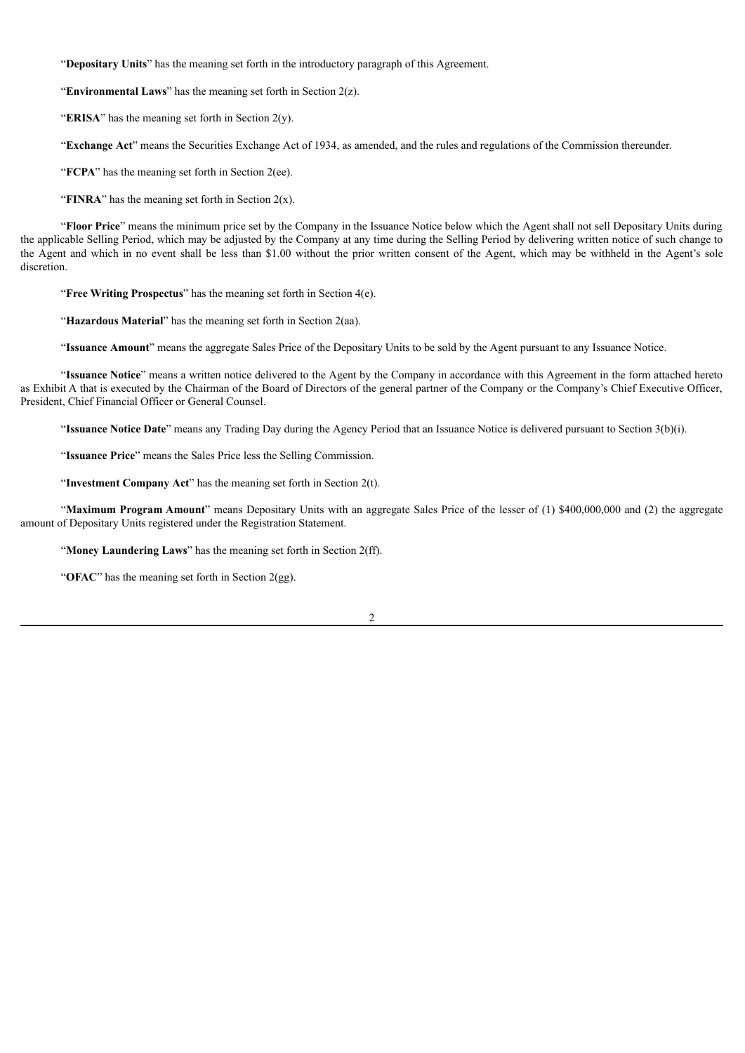"**Depositary Units**" has the meaning set forth in the introductory paragraph of this Agreement.

"**Environmental Laws**" has the meaning set forth in Section 2(z).

"**ERISA**" has the meaning set forth in Section  $2(y)$ .

"**Exchange Act**" means the Securities Exchange Act of 1934, as amended, and the rules and regulations of the Commission thereunder.

"**FCPA**" has the meaning set forth in Section 2(ee).

"**FINRA**" has the meaning set forth in Section  $2(x)$ .

"**Floor Price**" means the minimum price set by the Company in the Issuance Notice below which the Agent shall not sell Depositary Units during the applicable Selling Period, which may be adjusted by the Company at any time during the Selling Period by delivering written notice of such change to the Agent and which in no event shall be less than \$1.00 without the prior written consent of the Agent, which may be withheld in the Agent's sole discretion.

"**Free Writing Prospectus**" has the meaning set forth in Section 4(e).

"**Hazardous Material**" has the meaning set forth in Section 2(aa).

"**Issuance Amount**" means the aggregate Sales Price of the Depositary Units to be sold by the Agent pursuant to any Issuance Notice.

"**Issuance Notice**" means a written notice delivered to the Agent by the Company in accordance with this Agreement in the form attached hereto as Exhibit A that is executed by the Chairman of the Board of Directors of the general partner of the Company or the Company's Chief Executive Officer, President, Chief Financial Officer or General Counsel.

"**Issuance Notice Date**" means any Trading Day during the Agency Period that an Issuance Notice is delivered pursuant to Section 3(b)(i).

"**Issuance Price**" means the Sales Price less the Selling Commission.

"**Investment Company Act**" has the meaning set forth in Section 2(t).

"Maximum Program Amount" means Depositary Units with an aggregate Sales Price of the lesser of (1) \$400,000,000 and (2) the aggregate amount of Depositary Units registered under the Registration Statement.

"**Money Laundering Laws**" has the meaning set forth in Section 2(ff).

"**OFAC**" has the meaning set forth in Section 2(gg).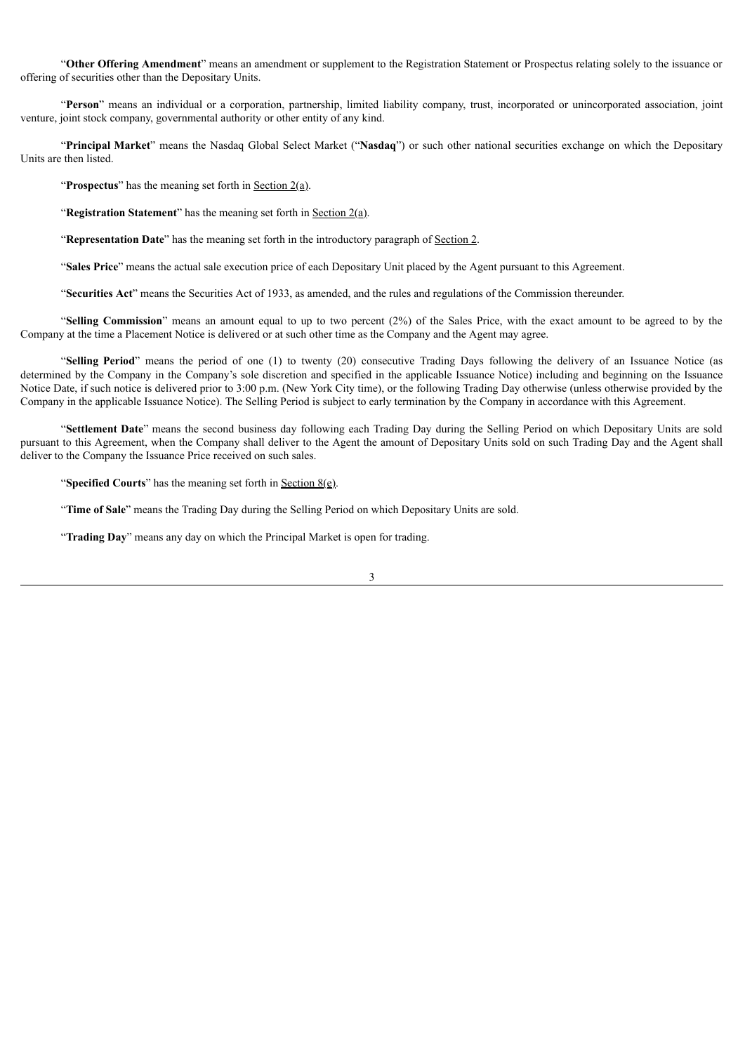"**Other Offering Amendment**" means an amendment or supplement to the Registration Statement or Prospectus relating solely to the issuance or offering of securities other than the Depositary Units.

"**Person**" means an individual or a corporation, partnership, limited liability company, trust, incorporated or unincorporated association, joint venture, joint stock company, governmental authority or other entity of any kind.

"**Principal Market**" means the Nasdaq Global Select Market ("**Nasdaq**") or such other national securities exchange on which the Depositary Units are then listed.

"**Prospectus**" has the meaning set forth in <u>Section 2(a)</u>.

"**Registration Statement**" has the meaning set forth in Section 2(a).

"**Representation Date**" has the meaning set forth in the introductory paragraph of Section 2.

"**Sales Price**" means the actual sale execution price of each Depositary Unit placed by the Agent pursuant to this Agreement.

"**Securities Act**" means the Securities Act of 1933, as amended, and the rules and regulations of the Commission thereunder.

"**Selling Commission**" means an amount equal to up to two percent (2%) of the Sales Price, with the exact amount to be agreed to by the Company at the time a Placement Notice is delivered or at such other time as the Company and the Agent may agree.

"**Selling Period**" means the period of one (1) to twenty (20) consecutive Trading Days following the delivery of an Issuance Notice (as determined by the Company in the Company's sole discretion and specified in the applicable Issuance Notice) including and beginning on the Issuance Notice Date, if such notice is delivered prior to 3:00 p.m. (New York City time), or the following Trading Day otherwise (unless otherwise provided by the Company in the applicable Issuance Notice). The Selling Period is subject to early termination by the Company in accordance with this Agreement.

"**Settlement Date**" means the second business day following each Trading Day during the Selling Period on which Depositary Units are sold pursuant to this Agreement, when the Company shall deliver to the Agent the amount of Depositary Units sold on such Trading Day and the Agent shall deliver to the Company the Issuance Price received on such sales.

"**Specified Courts**" has the meaning set forth in Section 8(e).

"**Time of Sale**" means the Trading Day during the Selling Period on which Depositary Units are sold.

"**Trading Day**" means any day on which the Principal Market is open for trading.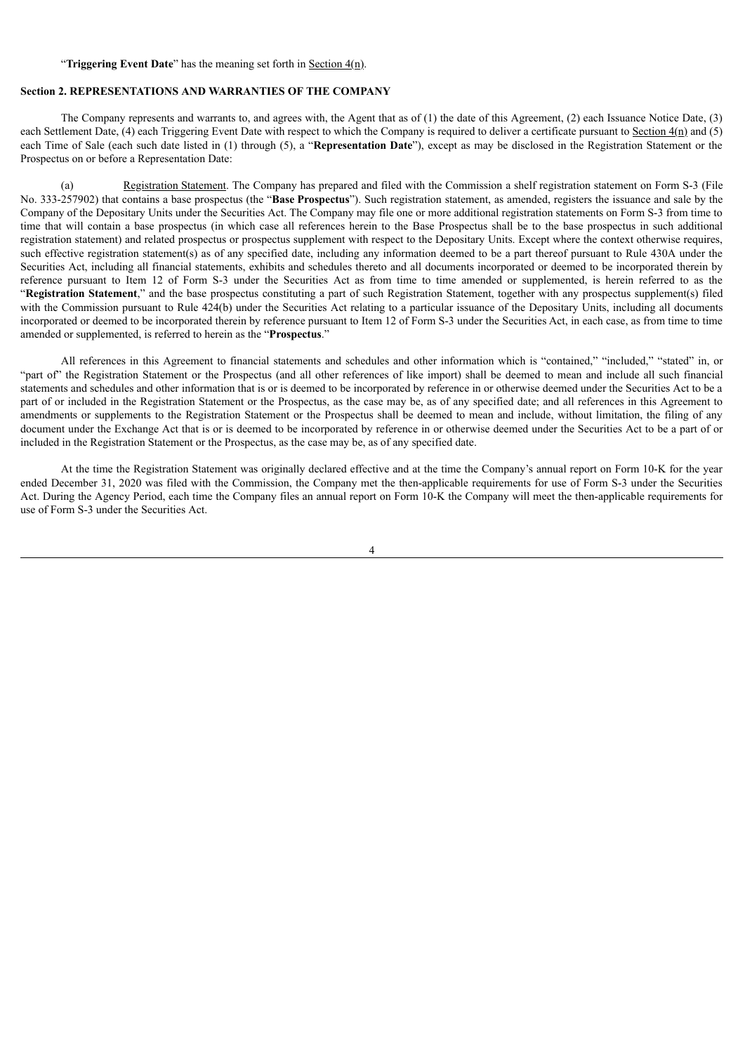### "**Triggering Event Date**" has the meaning set forth in Section 4(n).

### **Section 2. REPRESENTATIONS AND WARRANTIES OF THE COMPANY**

The Company represents and warrants to, and agrees with, the Agent that as of (1) the date of this Agreement, (2) each Issuance Notice Date, (3) each Settlement Date, (4) each Triggering Event Date with respect to which the Company is required to deliver a certificate pursuant to Section  $4(n)$  and (5) each Time of Sale (each such date listed in (1) through (5), a "**Representation Date**"), except as may be disclosed in the Registration Statement or the Prospectus on or before a Representation Date:

(a) Registration Statement. The Company has prepared and filed with the Commission a shelf registration statement on Form S-3 (File No. 333-257902) that contains a base prospectus (the "**Base Prospectus**"). Such registration statement, as amended, registers the issuance and sale by the Company of the Depositary Units under the Securities Act. The Company may file one or more additional registration statements on Form S-3 from time to time that will contain a base prospectus (in which case all references herein to the Base Prospectus shall be to the base prospectus in such additional registration statement) and related prospectus or prospectus supplement with respect to the Depositary Units. Except where the context otherwise requires, such effective registration statement(s) as of any specified date, including any information deemed to be a part thereof pursuant to Rule 430A under the Securities Act, including all financial statements, exhibits and schedules thereto and all documents incorporated or deemed to be incorporated therein by reference pursuant to Item 12 of Form S-3 under the Securities Act as from time to time amended or supplemented, is herein referred to as the "**Registration Statement**," and the base prospectus constituting a part of such Registration Statement, together with any prospectus supplement(s) filed with the Commission pursuant to Rule 424(b) under the Securities Act relating to a particular issuance of the Depositary Units, including all documents incorporated or deemed to be incorporated therein by reference pursuant to Item 12 of Form S-3 under the Securities Act, in each case, as from time to time amended or supplemented, is referred to herein as the "**Prospectus**."

All references in this Agreement to financial statements and schedules and other information which is "contained," "included," "stated" in, or "part of" the Registration Statement or the Prospectus (and all other references of like import) shall be deemed to mean and include all such financial statements and schedules and other information that is or is deemed to be incorporated by reference in or otherwise deemed under the Securities Act to be a part of or included in the Registration Statement or the Prospectus, as the case may be, as of any specified date; and all references in this Agreement to amendments or supplements to the Registration Statement or the Prospectus shall be deemed to mean and include, without limitation, the filing of any document under the Exchange Act that is or is deemed to be incorporated by reference in or otherwise deemed under the Securities Act to be a part of or included in the Registration Statement or the Prospectus, as the case may be, as of any specified date.

At the time the Registration Statement was originally declared effective and at the time the Company's annual report on Form 10-K for the year ended December 31, 2020 was filed with the Commission, the Company met the then-applicable requirements for use of Form S-3 under the Securities Act. During the Agency Period, each time the Company files an annual report on Form 10-K the Company will meet the then-applicable requirements for use of Form S-3 under the Securities Act.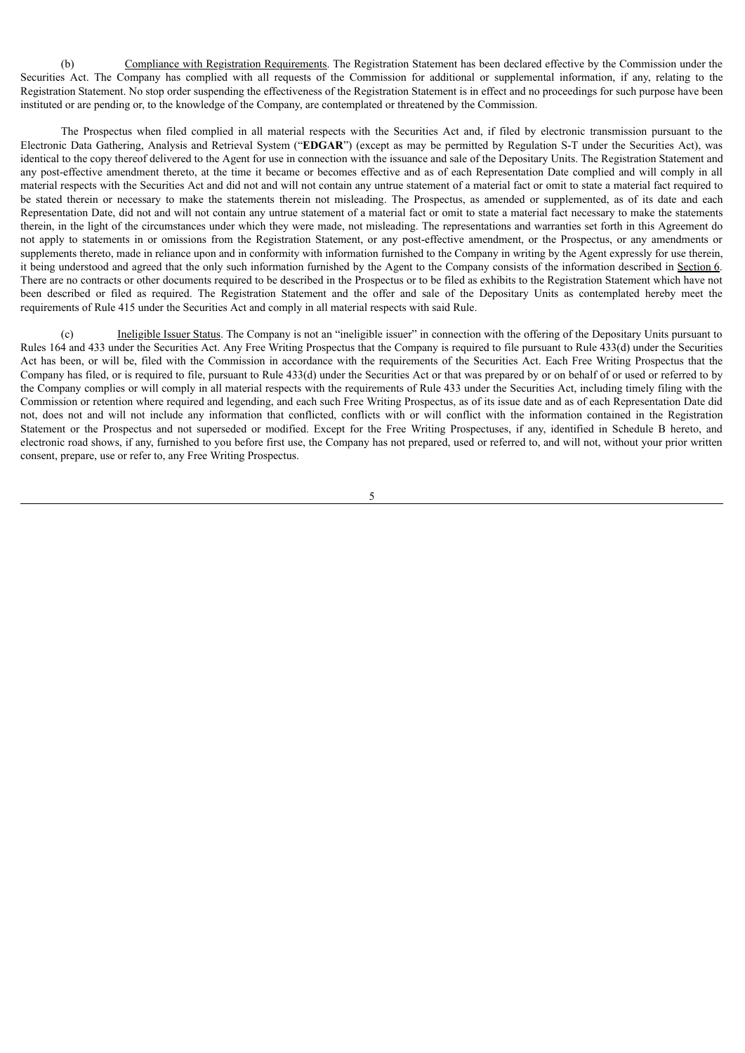(b) Compliance with Registration Requirements. The Registration Statement has been declared effective by the Commission under the Securities Act. The Company has complied with all requests of the Commission for additional or supplemental information, if any, relating to the Registration Statement. No stop order suspending the effectiveness of the Registration Statement is in effect and no proceedings for such purpose have been instituted or are pending or, to the knowledge of the Company, are contemplated or threatened by the Commission.

The Prospectus when filed complied in all material respects with the Securities Act and, if filed by electronic transmission pursuant to the Electronic Data Gathering, Analysis and Retrieval System ("**EDGAR**") (except as may be permitted by Regulation S-T under the Securities Act), was identical to the copy thereof delivered to the Agent for use in connection with the issuance and sale of the Depositary Units. The Registration Statement and any post-effective amendment thereto, at the time it became or becomes effective and as of each Representation Date complied and will comply in all material respects with the Securities Act and did not and will not contain any untrue statement of a material fact or omit to state a material fact required to be stated therein or necessary to make the statements therein not misleading. The Prospectus, as amended or supplemented, as of its date and each Representation Date, did not and will not contain any untrue statement of a material fact or omit to state a material fact necessary to make the statements therein, in the light of the circumstances under which they were made, not misleading. The representations and warranties set forth in this Agreement do not apply to statements in or omissions from the Registration Statement, or any post-effective amendment, or the Prospectus, or any amendments or supplements thereto, made in reliance upon and in conformity with information furnished to the Company in writing by the Agent expressly for use therein, it being understood and agreed that the only such information furnished by the Agent to the Company consists of the information described in Section 6. There are no contracts or other documents required to be described in the Prospectus or to be filed as exhibits to the Registration Statement which have not been described or filed as required. The Registration Statement and the offer and sale of the Depositary Units as contemplated hereby meet the requirements of Rule 415 under the Securities Act and comply in all material respects with said Rule.

(c) Ineligible Issuer Status. The Company is not an "ineligible issuer" in connection with the offering of the Depositary Units pursuant to Rules 164 and 433 under the Securities Act. Any Free Writing Prospectus that the Company is required to file pursuant to Rule 433(d) under the Securities Act has been, or will be, filed with the Commission in accordance with the requirements of the Securities Act. Each Free Writing Prospectus that the Company has filed, or is required to file, pursuant to Rule 433(d) under the Securities Act or that was prepared by or on behalf of or used or referred to by the Company complies or will comply in all material respects with the requirements of Rule 433 under the Securities Act, including timely filing with the Commission or retention where required and legending, and each such Free Writing Prospectus, as of its issue date and as of each Representation Date did not, does not and will not include any information that conflicted, conflicts with or will conflict with the information contained in the Registration Statement or the Prospectus and not superseded or modified. Except for the Free Writing Prospectuses, if any, identified in Schedule B hereto, and electronic road shows, if any, furnished to you before first use, the Company has not prepared, used or referred to, and will not, without your prior written consent, prepare, use or refer to, any Free Writing Prospectus.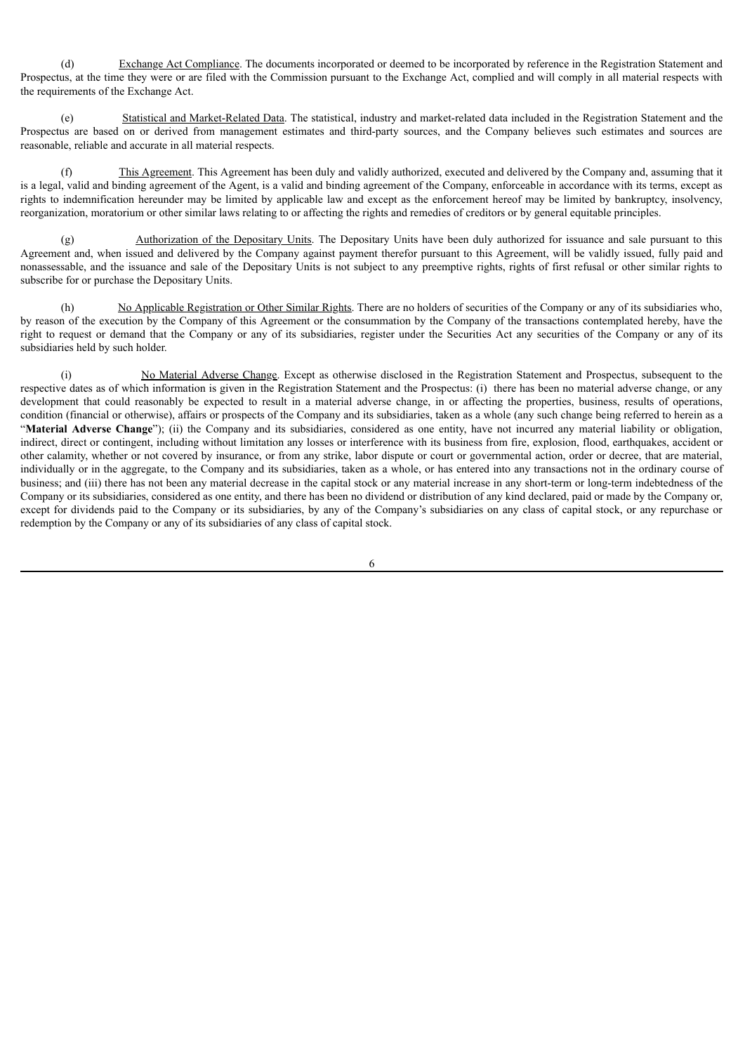(d) Exchange Act Compliance. The documents incorporated or deemed to be incorporated by reference in the Registration Statement and Prospectus, at the time they were or are filed with the Commission pursuant to the Exchange Act, complied and will comply in all material respects with the requirements of the Exchange Act.

(e) Statistical and Market-Related Data. The statistical, industry and market-related data included in the Registration Statement and the Prospectus are based on or derived from management estimates and third-party sources, and the Company believes such estimates and sources are reasonable, reliable and accurate in all material respects.

(f) This Agreement. This Agreement has been duly and validly authorized, executed and delivered by the Company and, assuming that it is a legal, valid and binding agreement of the Agent, is a valid and binding agreement of the Company, enforceable in accordance with its terms, except as rights to indemnification hereunder may be limited by applicable law and except as the enforcement hereof may be limited by bankruptcy, insolvency, reorganization, moratorium or other similar laws relating to or affecting the rights and remedies of creditors or by general equitable principles.

(g) Authorization of the Depositary Units. The Depositary Units have been duly authorized for issuance and sale pursuant to this Agreement and, when issued and delivered by the Company against payment therefor pursuant to this Agreement, will be validly issued, fully paid and nonassessable, and the issuance and sale of the Depositary Units is not subject to any preemptive rights, rights of first refusal or other similar rights to subscribe for or purchase the Depositary Units.

(h) No Applicable Registration or Other Similar Rights. There are no holders of securities of the Company or any of its subsidiaries who, by reason of the execution by the Company of this Agreement or the consummation by the Company of the transactions contemplated hereby, have the right to request or demand that the Company or any of its subsidiaries, register under the Securities Act any securities of the Company or any of its subsidiaries held by such holder.

(i) No Material Adverse Change. Except as otherwise disclosed in the Registration Statement and Prospectus, subsequent to the respective dates as of which information is given in the Registration Statement and the Prospectus: (i) there has been no material adverse change, or any development that could reasonably be expected to result in a material adverse change, in or affecting the properties, business, results of operations, condition (financial or otherwise), affairs or prospects of the Company and its subsidiaries, taken as a whole (any such change being referred to herein as a "**Material Adverse Change**"); (ii) the Company and its subsidiaries, considered as one entity, have not incurred any material liability or obligation, indirect, direct or contingent, including without limitation any losses or interference with its business from fire, explosion, flood, earthquakes, accident or other calamity, whether or not covered by insurance, or from any strike, labor dispute or court or governmental action, order or decree, that are material, individually or in the aggregate, to the Company and its subsidiaries, taken as a whole, or has entered into any transactions not in the ordinary course of business; and (iii) there has not been any material decrease in the capital stock or any material increase in any short-term or long-term indebtedness of the Company or its subsidiaries, considered as one entity, and there has been no dividend or distribution of any kind declared, paid or made by the Company or, except for dividends paid to the Company or its subsidiaries, by any of the Company's subsidiaries on any class of capital stock, or any repurchase or redemption by the Company or any of its subsidiaries of any class of capital stock.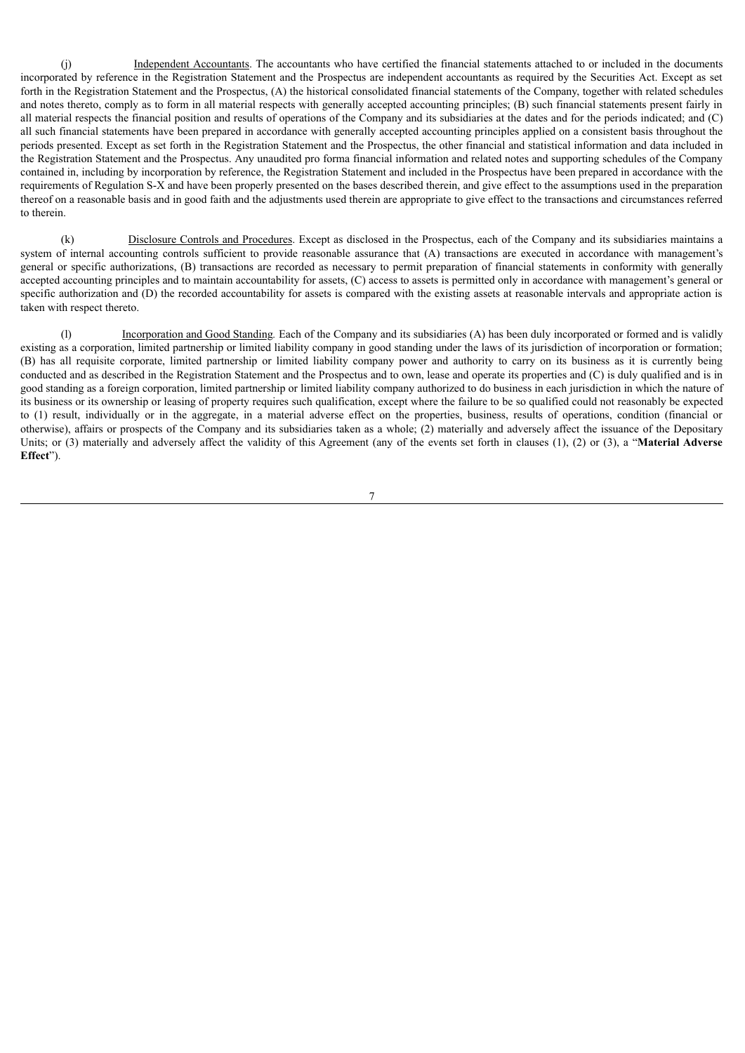(j) Independent Accountants. The accountants who have certified the financial statements attached to or included in the documents incorporated by reference in the Registration Statement and the Prospectus are independent accountants as required by the Securities Act. Except as set forth in the Registration Statement and the Prospectus, (A) the historical consolidated financial statements of the Company, together with related schedules and notes thereto, comply as to form in all material respects with generally accepted accounting principles; (B) such financial statements present fairly in all material respects the financial position and results of operations of the Company and its subsidiaries at the dates and for the periods indicated; and (C) all such financial statements have been prepared in accordance with generally accepted accounting principles applied on a consistent basis throughout the periods presented. Except as set forth in the Registration Statement and the Prospectus, the other financial and statistical information and data included in the Registration Statement and the Prospectus. Any unaudited pro forma financial information and related notes and supporting schedules of the Company contained in, including by incorporation by reference, the Registration Statement and included in the Prospectus have been prepared in accordance with the requirements of Regulation S-X and have been properly presented on the bases described therein, and give effect to the assumptions used in the preparation thereof on a reasonable basis and in good faith and the adjustments used therein are appropriate to give effect to the transactions and circumstances referred to therein.

(k) Disclosure Controls and Procedures. Except as disclosed in the Prospectus, each of the Company and its subsidiaries maintains a system of internal accounting controls sufficient to provide reasonable assurance that (A) transactions are executed in accordance with management's general or specific authorizations, (B) transactions are recorded as necessary to permit preparation of financial statements in conformity with generally accepted accounting principles and to maintain accountability for assets, (C) access to assets is permitted only in accordance with management's general or specific authorization and (D) the recorded accountability for assets is compared with the existing assets at reasonable intervals and appropriate action is taken with respect thereto.

(l) Incorporation and Good Standing*.* Each of the Company and its subsidiaries (A) has been duly incorporated or formed and is validly existing as a corporation, limited partnership or limited liability company in good standing under the laws of its jurisdiction of incorporation or formation; (B) has all requisite corporate, limited partnership or limited liability company power and authority to carry on its business as it is currently being conducted and as described in the Registration Statement and the Prospectus and to own, lease and operate its properties and (C) is duly qualified and is in good standing as a foreign corporation, limited partnership or limited liability company authorized to do business in each jurisdiction in which the nature of its business or its ownership or leasing of property requires such qualification, except where the failure to be so qualified could not reasonably be expected to (1) result, individually or in the aggregate, in a material adverse effect on the properties, business, results of operations, condition (financial or otherwise), affairs or prospects of the Company and its subsidiaries taken as a whole; (2) materially and adversely affect the issuance of the Depositary Units; or (3) materially and adversely affect the validity of this Agreement (any of the events set forth in clauses (1), (2) or (3), a "**Material Adverse Effect**").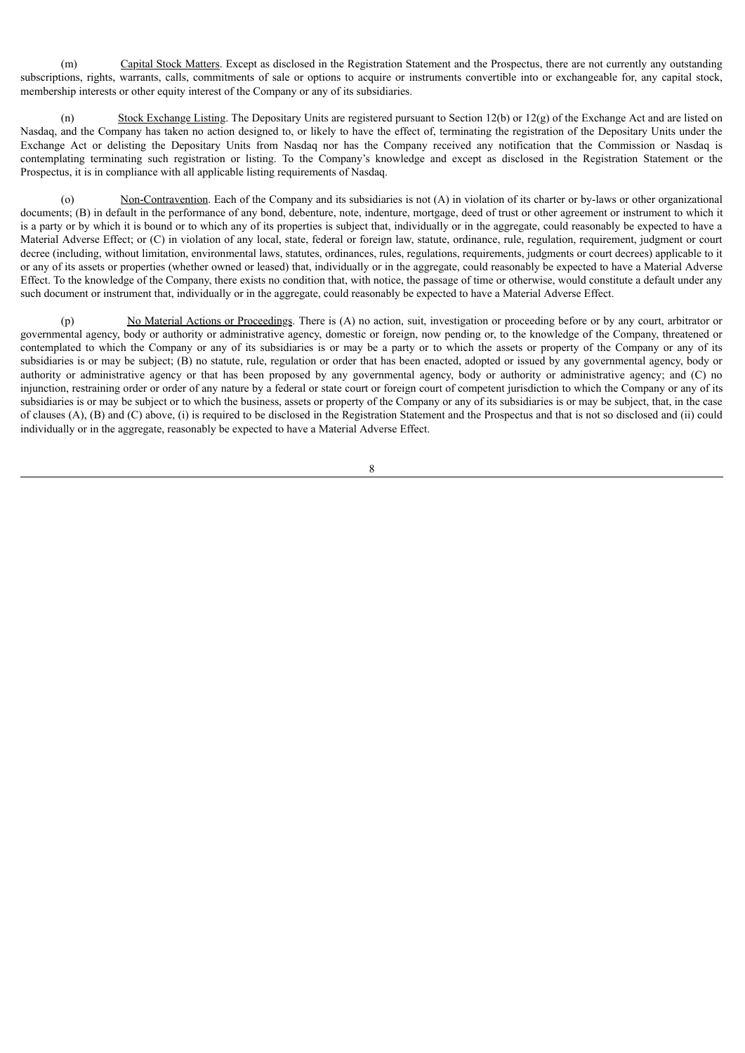(m) Capital Stock Matters. Except as disclosed in the Registration Statement and the Prospectus, there are not currently any outstanding subscriptions, rights, warrants, calls, commitments of sale or options to acquire or instruments convertible into or exchangeable for, any capital stock, membership interests or other equity interest of the Company or any of its subsidiaries.

(n) Stock Exchange Listing. The Depositary Units are registered pursuant to Section 12(b) or 12(g) of the Exchange Act and are listed on Nasdaq, and the Company has taken no action designed to, or likely to have the effect of, terminating the registration of the Depositary Units under the Exchange Act or delisting the Depositary Units from Nasdaq nor has the Company received any notification that the Commission or Nasdaq is contemplating terminating such registration or listing. To the Company's knowledge and except as disclosed in the Registration Statement or the Prospectus, it is in compliance with all applicable listing requirements of Nasdaq.

(o) Non-Contravention. Each of the Company and its subsidiaries is not (A) in violation of its charter or by-laws or other organizational documents; (B) in default in the performance of any bond, debenture, note, indenture, mortgage, deed of trust or other agreement or instrument to which it is a party or by which it is bound or to which any of its properties is subject that, individually or in the aggregate, could reasonably be expected to have a Material Adverse Effect; or (C) in violation of any local, state, federal or foreign law, statute, ordinance, rule, regulation, requirement, judgment or court decree (including, without limitation, environmental laws, statutes, ordinances, rules, regulations, requirements, judgments or court decrees) applicable to it or any of its assets or properties (whether owned or leased) that, individually or in the aggregate, could reasonably be expected to have a Material Adverse Effect. To the knowledge of the Company, there exists no condition that, with notice, the passage of time or otherwise, would constitute a default under any such document or instrument that, individually or in the aggregate, could reasonably be expected to have a Material Adverse Effect.

(p) No Material Actions or Proceedings. There is (A) no action, suit, investigation or proceeding before or by any court, arbitrator or governmental agency, body or authority or administrative agency, domestic or foreign, now pending or, to the knowledge of the Company, threatened or contemplated to which the Company or any of its subsidiaries is or may be a party or to which the assets or property of the Company or any of its subsidiaries is or may be subject; (B) no statute, rule, regulation or order that has been enacted, adopted or issued by any governmental agency, body or authority or administrative agency or that has been proposed by any governmental agency, body or authority or administrative agency; and (C) no injunction, restraining order or order of any nature by a federal or state court or foreign court of competent jurisdiction to which the Company or any of its subsidiaries is or may be subject or to which the business, assets or property of the Company or any of its subsidiaries is or may be subject, that, in the case of clauses (A), (B) and (C) above, (i) is required to be disclosed in the Registration Statement and the Prospectus and that is not so disclosed and (ii) could individually or in the aggregate, reasonably be expected to have a Material Adverse Effect.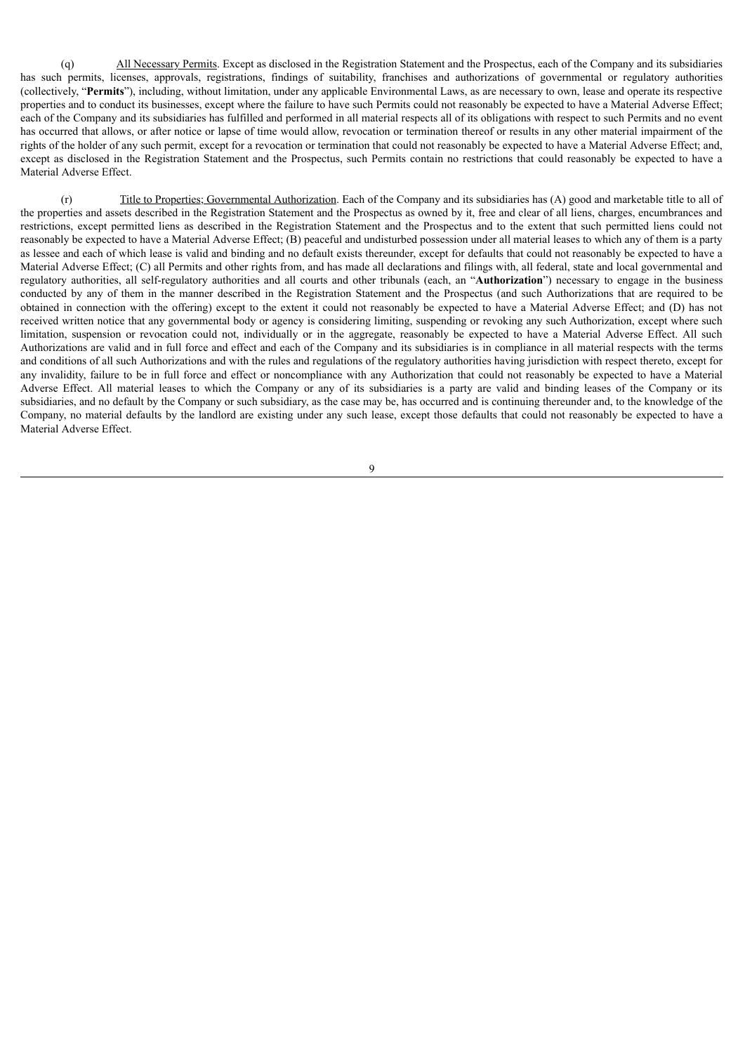(q) All Necessary Permits. Except as disclosed in the Registration Statement and the Prospectus, each of the Company and its subsidiaries has such permits, licenses, approvals, registrations, findings of suitability, franchises and authorizations of governmental or regulatory authorities (collectively, "**Permits**"), including, without limitation, under any applicable Environmental Laws, as are necessary to own, lease and operate its respective properties and to conduct its businesses, except where the failure to have such Permits could not reasonably be expected to have a Material Adverse Effect; each of the Company and its subsidiaries has fulfilled and performed in all material respects all of its obligations with respect to such Permits and no event has occurred that allows, or after notice or lapse of time would allow, revocation or termination thereof or results in any other material impairment of the rights of the holder of any such permit, except for a revocation or termination that could not reasonably be expected to have a Material Adverse Effect; and, except as disclosed in the Registration Statement and the Prospectus, such Permits contain no restrictions that could reasonably be expected to have a Material Adverse Effect.

(r) Title to Properties; Governmental Authorization. Each of the Company and its subsidiaries has (A) good and marketable title to all of the properties and assets described in the Registration Statement and the Prospectus as owned by it, free and clear of all liens, charges, encumbrances and restrictions, except permitted liens as described in the Registration Statement and the Prospectus and to the extent that such permitted liens could not reasonably be expected to have a Material Adverse Effect; (B) peaceful and undisturbed possession under all material leases to which any of them is a party as lessee and each of which lease is valid and binding and no default exists thereunder, except for defaults that could not reasonably be expected to have a Material Adverse Effect; (C) all Permits and other rights from, and has made all declarations and filings with, all federal, state and local governmental and regulatory authorities, all self-regulatory authorities and all courts and other tribunals (each, an "**Authorization**") necessary to engage in the business conducted by any of them in the manner described in the Registration Statement and the Prospectus (and such Authorizations that are required to be obtained in connection with the offering) except to the extent it could not reasonably be expected to have a Material Adverse Effect; and (D) has not received written notice that any governmental body or agency is considering limiting, suspending or revoking any such Authorization, except where such limitation, suspension or revocation could not, individually or in the aggregate, reasonably be expected to have a Material Adverse Effect. All such Authorizations are valid and in full force and effect and each of the Company and its subsidiaries is in compliance in all material respects with the terms and conditions of all such Authorizations and with the rules and regulations of the regulatory authorities having jurisdiction with respect thereto, except for any invalidity, failure to be in full force and effect or noncompliance with any Authorization that could not reasonably be expected to have a Material Adverse Effect. All material leases to which the Company or any of its subsidiaries is a party are valid and binding leases of the Company or its subsidiaries, and no default by the Company or such subsidiary, as the case may be, has occurred and is continuing thereunder and, to the knowledge of the Company, no material defaults by the landlord are existing under any such lease, except those defaults that could not reasonably be expected to have a Material Adverse Effect.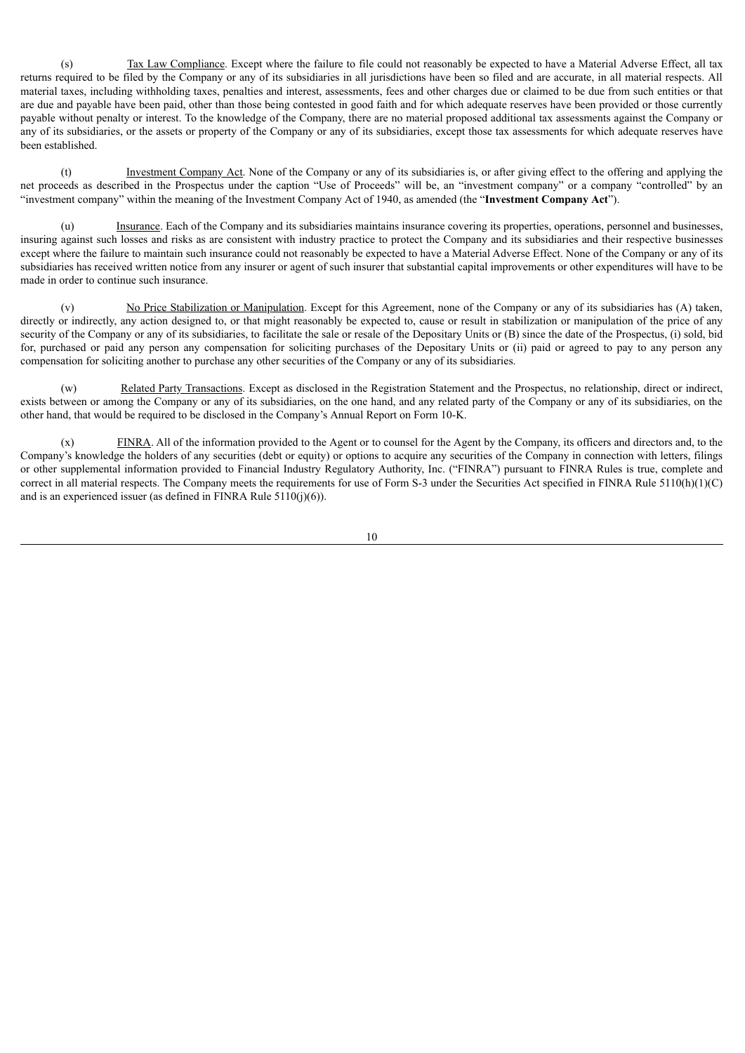(s) Tax Law Compliance. Except where the failure to file could not reasonably be expected to have a Material Adverse Effect, all tax returns required to be filed by the Company or any of its subsidiaries in all jurisdictions have been so filed and are accurate, in all material respects. All material taxes, including withholding taxes, penalties and interest, assessments, fees and other charges due or claimed to be due from such entities or that are due and payable have been paid, other than those being contested in good faith and for which adequate reserves have been provided or those currently payable without penalty or interest. To the knowledge of the Company, there are no material proposed additional tax assessments against the Company or any of its subsidiaries, or the assets or property of the Company or any of its subsidiaries, except those tax assessments for which adequate reserves have been established.

(t) Investment Company Act. None of the Company or any of its subsidiaries is, or after giving effect to the offering and applying the net proceeds as described in the Prospectus under the caption "Use of Proceeds" will be, an "investment company" or a company "controlled" by an "investment company" within the meaning of the Investment Company Act of 1940, as amended (the "**Investment Company Act**").

(u) Insurance. Each of the Company and its subsidiaries maintains insurance covering its properties, operations, personnel and businesses, insuring against such losses and risks as are consistent with industry practice to protect the Company and its subsidiaries and their respective businesses except where the failure to maintain such insurance could not reasonably be expected to have a Material Adverse Effect. None of the Company or any of its subsidiaries has received written notice from any insurer or agent of such insurer that substantial capital improvements or other expenditures will have to be made in order to continue such insurance.

No Price Stabilization or Manipulation. Except for this Agreement, none of the Company or any of its subsidiaries has (A) taken, directly or indirectly, any action designed to, or that might reasonably be expected to, cause or result in stabilization or manipulation of the price of any security of the Company or any of its subsidiaries, to facilitate the sale or resale of the Depositary Units or (B) since the date of the Prospectus, (i) sold, bid for, purchased or paid any person any compensation for soliciting purchases of the Depositary Units or (ii) paid or agreed to pay to any person any compensation for soliciting another to purchase any other securities of the Company or any of its subsidiaries.

(w) Related Party Transactions. Except as disclosed in the Registration Statement and the Prospectus, no relationship, direct or indirect, exists between or among the Company or any of its subsidiaries, on the one hand, and any related party of the Company or any of its subsidiaries, on the other hand, that would be required to be disclosed in the Company's Annual Report on Form 10-K.

(x) FINRA. All of the information provided to the Agent or to counsel for the Agent by the Company, its officers and directors and, to the Company's knowledge the holders of any securities (debt or equity) or options to acquire any securities of the Company in connection with letters, filings or other supplemental information provided to Financial Industry Regulatory Authority, Inc. ("FINRA") pursuant to FINRA Rules is true, complete and correct in all material respects. The Company meets the requirements for use of Form S-3 under the Securities Act specified in FINRA Rule 5110(h)(1)(C) and is an experienced issuer (as defined in FINRA Rule  $5110(j)(6)$ ).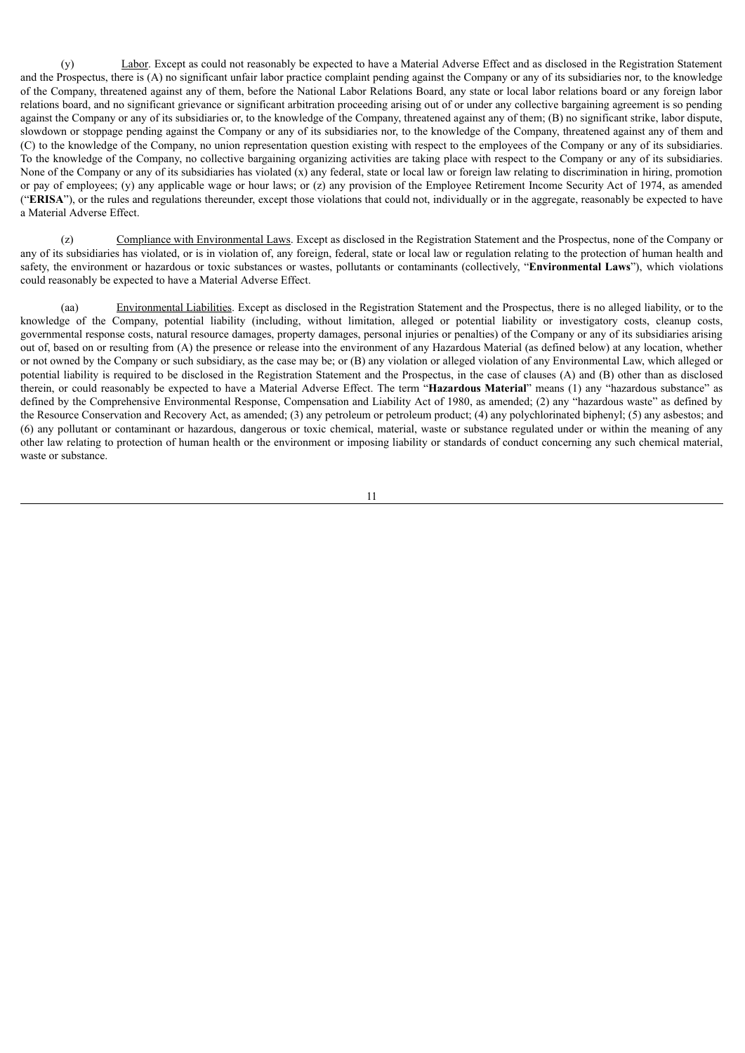(y) Labor. Except as could not reasonably be expected to have a Material Adverse Effect and as disclosed in the Registration Statement and the Prospectus, there is (A) no significant unfair labor practice complaint pending against the Company or any of its subsidiaries nor, to the knowledge of the Company, threatened against any of them, before the National Labor Relations Board, any state or local labor relations board or any foreign labor relations board, and no significant grievance or significant arbitration proceeding arising out of or under any collective bargaining agreement is so pending against the Company or any of its subsidiaries or, to the knowledge of the Company, threatened against any of them; (B) no significant strike, labor dispute, slowdown or stoppage pending against the Company or any of its subsidiaries nor, to the knowledge of the Company, threatened against any of them and (C) to the knowledge of the Company, no union representation question existing with respect to the employees of the Company or any of its subsidiaries. To the knowledge of the Company, no collective bargaining organizing activities are taking place with respect to the Company or any of its subsidiaries. None of the Company or any of its subsidiaries has violated  $(x)$  any federal, state or local law or foreign law relating to discrimination in hiring, promotion or pay of employees; (y) any applicable wage or hour laws; or (z) any provision of the Employee Retirement Income Security Act of 1974, as amended ("**ERISA**"), or the rules and regulations thereunder, except those violations that could not, individually or in the aggregate, reasonably be expected to have a Material Adverse Effect.

(z) Compliance with Environmental Laws. Except as disclosed in the Registration Statement and the Prospectus, none of the Company or any of its subsidiaries has violated, or is in violation of, any foreign, federal, state or local law or regulation relating to the protection of human health and safety, the environment or hazardous or toxic substances or wastes, pollutants or contaminants (collectively, "**Environmental Laws**"), which violations could reasonably be expected to have a Material Adverse Effect.

(aa) Environmental Liabilities. Except as disclosed in the Registration Statement and the Prospectus, there is no alleged liability, or to the knowledge of the Company, potential liability (including, without limitation, alleged or potential liability or investigatory costs, cleanup costs, governmental response costs, natural resource damages, property damages, personal injuries or penalties) of the Company or any of its subsidiaries arising out of, based on or resulting from (A) the presence or release into the environment of any Hazardous Material (as defined below) at any location, whether or not owned by the Company or such subsidiary, as the case may be; or (B) any violation or alleged violation of any Environmental Law, which alleged or potential liability is required to be disclosed in the Registration Statement and the Prospectus, in the case of clauses (A) and (B) other than as disclosed therein, or could reasonably be expected to have a Material Adverse Effect. The term "**Hazardous Material**" means (1) any "hazardous substance" as defined by the Comprehensive Environmental Response, Compensation and Liability Act of 1980, as amended; (2) any "hazardous waste" as defined by the Resource Conservation and Recovery Act, as amended; (3) any petroleum or petroleum product; (4) any polychlorinated biphenyl; (5) any asbestos; and (6) any pollutant or contaminant or hazardous, dangerous or toxic chemical, material, waste or substance regulated under or within the meaning of any other law relating to protection of human health or the environment or imposing liability or standards of conduct concerning any such chemical material, waste or substance.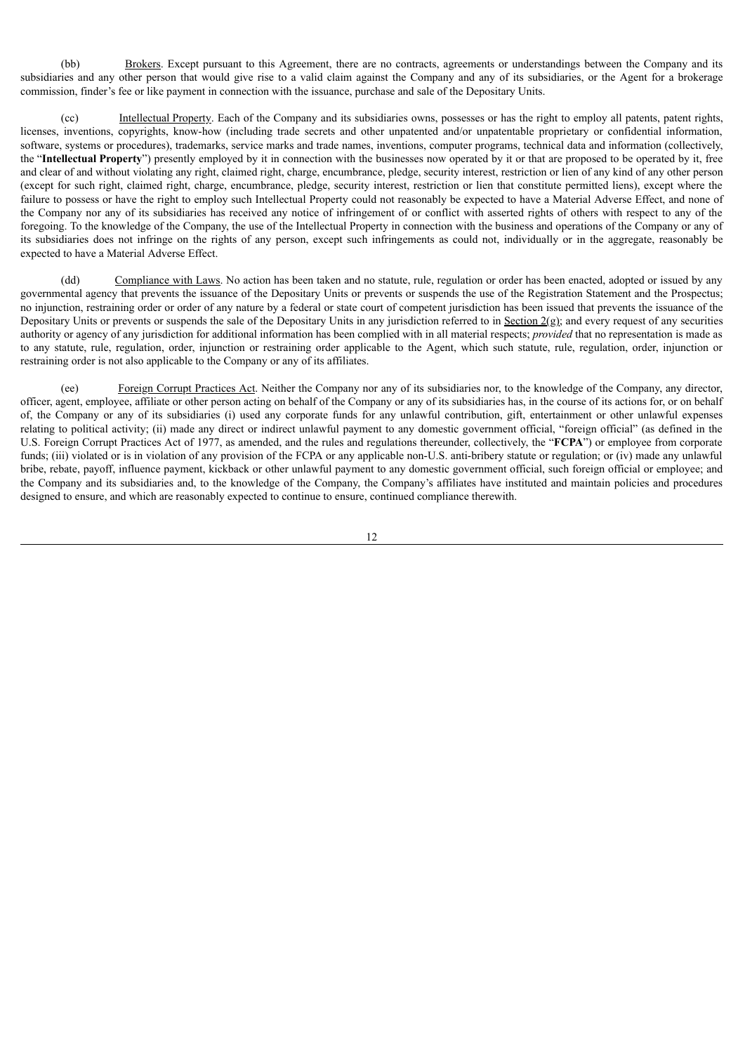(bb) Brokers. Except pursuant to this Agreement, there are no contracts, agreements or understandings between the Company and its subsidiaries and any other person that would give rise to a valid claim against the Company and any of its subsidiaries, or the Agent for a brokerage commission, finder's fee or like payment in connection with the issuance, purchase and sale of the Depositary Units.

(cc) Intellectual Property. Each of the Company and its subsidiaries owns, possesses or has the right to employ all patents, patent rights, licenses, inventions, copyrights, know-how (including trade secrets and other unpatented and/or unpatentable proprietary or confidential information, software, systems or procedures), trademarks, service marks and trade names, inventions, computer programs, technical data and information (collectively, the "**Intellectual Property**") presently employed by it in connection with the businesses now operated by it or that are proposed to be operated by it, free and clear of and without violating any right, claimed right, charge, encumbrance, pledge, security interest, restriction or lien of any kind of any other person (except for such right, claimed right, charge, encumbrance, pledge, security interest, restriction or lien that constitute permitted liens), except where the failure to possess or have the right to employ such Intellectual Property could not reasonably be expected to have a Material Adverse Effect, and none of the Company nor any of its subsidiaries has received any notice of infringement of or conflict with asserted rights of others with respect to any of the foregoing. To the knowledge of the Company, the use of the Intellectual Property in connection with the business and operations of the Company or any of its subsidiaries does not infringe on the rights of any person, except such infringements as could not, individually or in the aggregate, reasonably be expected to have a Material Adverse Effect.

(dd) Compliance with Laws. No action has been taken and no statute, rule, regulation or order has been enacted, adopted or issued by any governmental agency that prevents the issuance of the Depositary Units or prevents or suspends the use of the Registration Statement and the Prospectus; no injunction, restraining order or order of any nature by a federal or state court of competent jurisdiction has been issued that prevents the issuance of the Depositary Units or prevents or suspends the sale of the Depositary Units in any jurisdiction referred to in Section  $2(g)$ ; and every request of any securities authority or agency of any jurisdiction for additional information has been complied with in all material respects; *provided* that no representation is made as to any statute, rule, regulation, order, injunction or restraining order applicable to the Agent, which such statute, rule, regulation, order, injunction or restraining order is not also applicable to the Company or any of its affiliates.

(ee) Foreign Corrupt Practices Act. Neither the Company nor any of its subsidiaries nor, to the knowledge of the Company, any director, officer, agent, employee, affiliate or other person acting on behalf of the Company or any of its subsidiaries has, in the course of its actions for, or on behalf of, the Company or any of its subsidiaries (i) used any corporate funds for any unlawful contribution, gift, entertainment or other unlawful expenses relating to political activity; (ii) made any direct or indirect unlawful payment to any domestic government official, "foreign official" (as defined in the U.S. Foreign Corrupt Practices Act of 1977, as amended, and the rules and regulations thereunder, collectively, the "**FCPA**") or employee from corporate funds; (iii) violated or is in violation of any provision of the FCPA or any applicable non-U.S. anti-bribery statute or regulation; or (iv) made any unlawful bribe, rebate, payoff, influence payment, kickback or other unlawful payment to any domestic government official, such foreign official or employee; and the Company and its subsidiaries and, to the knowledge of the Company, the Company's affiliates have instituted and maintain policies and procedures designed to ensure, and which are reasonably expected to continue to ensure, continued compliance therewith.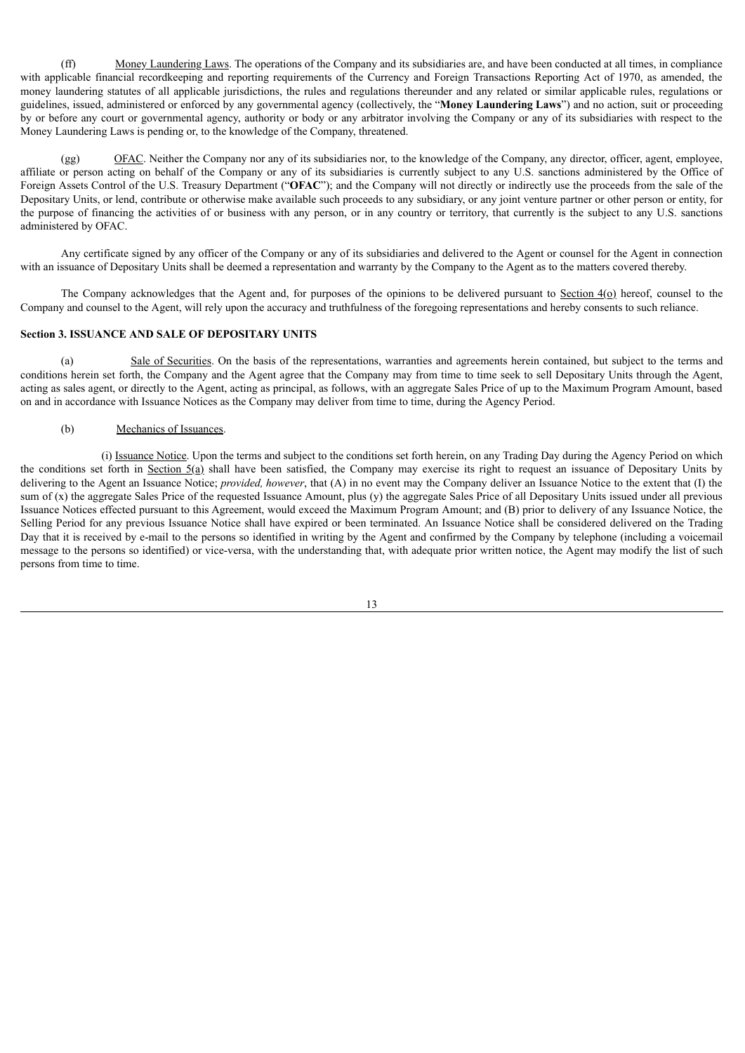(ff) Money Laundering Laws. The operations of the Company and its subsidiaries are, and have been conducted at all times, in compliance with applicable financial recordkeeping and reporting requirements of the Currency and Foreign Transactions Reporting Act of 1970, as amended, the money laundering statutes of all applicable jurisdictions, the rules and regulations thereunder and any related or similar applicable rules, regulations or guidelines, issued, administered or enforced by any governmental agency (collectively, the "**Money Laundering Laws**") and no action, suit or proceeding by or before any court or governmental agency, authority or body or any arbitrator involving the Company or any of its subsidiaries with respect to the Money Laundering Laws is pending or, to the knowledge of the Company, threatened.

(gg) OFAC. Neither the Company nor any of its subsidiaries nor, to the knowledge of the Company, any director, officer, agent, employee, affiliate or person acting on behalf of the Company or any of its subsidiaries is currently subject to any U.S. sanctions administered by the Office of Foreign Assets Control of the U.S. Treasury Department ("**OFAC**"); and the Company will not directly or indirectly use the proceeds from the sale of the Depositary Units, or lend, contribute or otherwise make available such proceeds to any subsidiary, or any joint venture partner or other person or entity, for the purpose of financing the activities of or business with any person, or in any country or territory, that currently is the subject to any U.S. sanctions administered by OFAC.

Any certificate signed by any officer of the Company or any of its subsidiaries and delivered to the Agent or counsel for the Agent in connection with an issuance of Depositary Units shall be deemed a representation and warranty by the Company to the Agent as to the matters covered thereby.

The Company acknowledges that the Agent and, for purposes of the opinions to be delivered pursuant to Section  $4\alpha$ ) hereof, counsel to the Company and counsel to the Agent, will rely upon the accuracy and truthfulness of the foregoing representations and hereby consents to such reliance.

### **Section 3. ISSUANCE AND SALE OF DEPOSITARY UNITS**

Sale of Securities. On the basis of the representations, warranties and agreements herein contained, but subject to the terms and conditions herein set forth, the Company and the Agent agree that the Company may from time to time seek to sell Depositary Units through the Agent, acting as sales agent, or directly to the Agent, acting as principal, as follows, with an aggregate Sales Price of up to the Maximum Program Amount, based on and in accordance with Issuance Notices as the Company may deliver from time to time, during the Agency Period.

#### (b) Mechanics of Issuances.

(i) Issuance Notice. Upon the terms and subject to the conditions set forth herein, on any Trading Day during the Agency Period on which the conditions set forth in Section  $5(a)$  shall have been satisfied, the Company may exercise its right to request an issuance of Depositary Units by delivering to the Agent an Issuance Notice; *provided, however*, that (A) in no event may the Company deliver an Issuance Notice to the extent that (I) the sum of (x) the aggregate Sales Price of the requested Issuance Amount, plus (y) the aggregate Sales Price of all Depositary Units issued under all previous Issuance Notices effected pursuant to this Agreement, would exceed the Maximum Program Amount; and (B) prior to delivery of any Issuance Notice, the Selling Period for any previous Issuance Notice shall have expired or been terminated. An Issuance Notice shall be considered delivered on the Trading Day that it is received by e-mail to the persons so identified in writing by the Agent and confirmed by the Company by telephone (including a voicemail message to the persons so identified) or vice-versa, with the understanding that, with adequate prior written notice, the Agent may modify the list of such persons from time to time.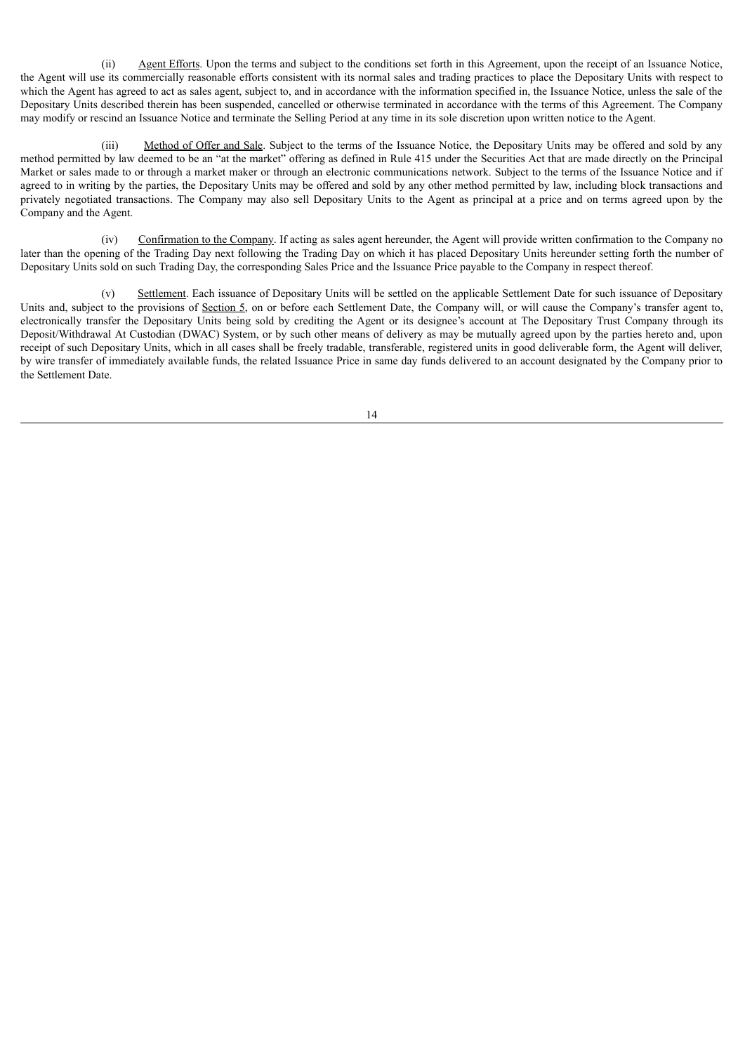(ii) Agent Efforts. Upon the terms and subject to the conditions set forth in this Agreement, upon the receipt of an Issuance Notice, the Agent will use its commercially reasonable efforts consistent with its normal sales and trading practices to place the Depositary Units with respect to which the Agent has agreed to act as sales agent, subject to, and in accordance with the information specified in, the Issuance Notice, unless the sale of the Depositary Units described therein has been suspended, cancelled or otherwise terminated in accordance with the terms of this Agreement. The Company may modify or rescind an Issuance Notice and terminate the Selling Period at any time in its sole discretion upon written notice to the Agent.

(iii) Method of Offer and Sale. Subject to the terms of the Issuance Notice, the Depositary Units may be offered and sold by any method permitted by law deemed to be an "at the market" offering as defined in Rule 415 under the Securities Act that are made directly on the Principal Market or sales made to or through a market maker or through an electronic communications network. Subject to the terms of the Issuance Notice and if agreed to in writing by the parties, the Depositary Units may be offered and sold by any other method permitted by law, including block transactions and privately negotiated transactions. The Company may also sell Depositary Units to the Agent as principal at a price and on terms agreed upon by the Company and the Agent.

(iv) Confirmation to the Company. If acting as sales agent hereunder, the Agent will provide written confirmation to the Company no later than the opening of the Trading Day next following the Trading Day on which it has placed Depositary Units hereunder setting forth the number of Depositary Units sold on such Trading Day, the corresponding Sales Price and the Issuance Price payable to the Company in respect thereof.

(v) Settlement. Each issuance of Depositary Units will be settled on the applicable Settlement Date for such issuance of Depositary Units and, subject to the provisions of Section 5, on or before each Settlement Date, the Company will, or will cause the Company's transfer agent to, electronically transfer the Depositary Units being sold by crediting the Agent or its designee's account at The Depositary Trust Company through its Deposit/Withdrawal At Custodian (DWAC) System, or by such other means of delivery as may be mutually agreed upon by the parties hereto and, upon receipt of such Depositary Units, which in all cases shall be freely tradable, transferable, registered units in good deliverable form, the Agent will deliver, by wire transfer of immediately available funds, the related Issuance Price in same day funds delivered to an account designated by the Company prior to the Settlement Date.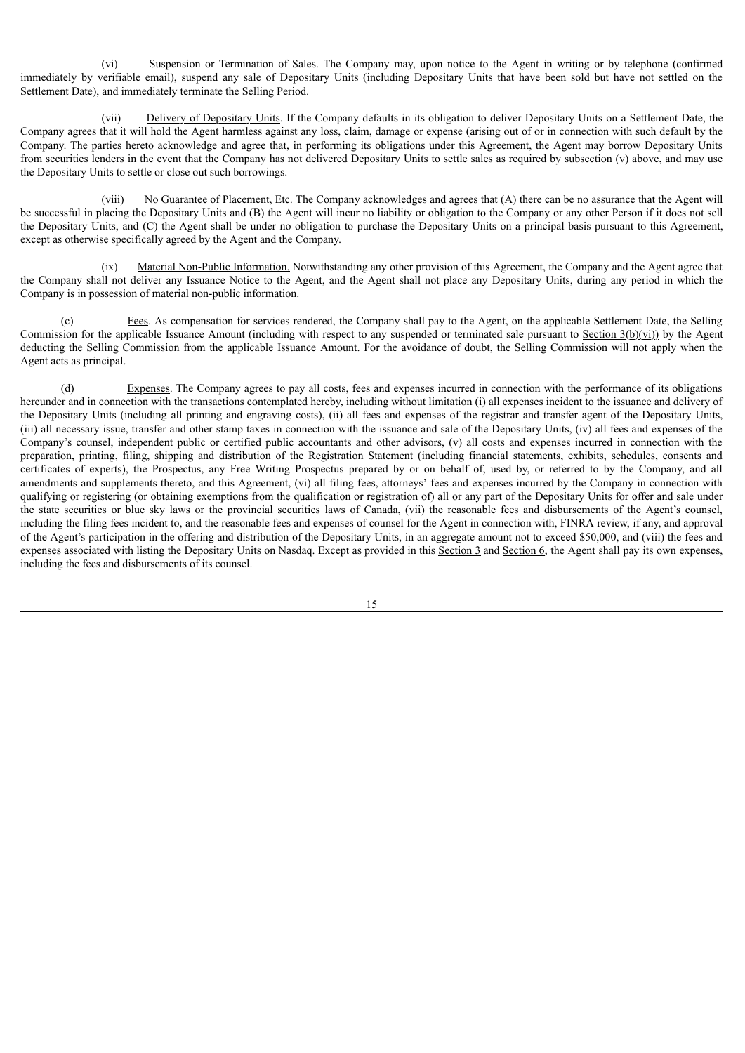(vi) Suspension or Termination of Sales. The Company may, upon notice to the Agent in writing or by telephone (confirmed immediately by verifiable email), suspend any sale of Depositary Units (including Depositary Units that have been sold but have not settled on the Settlement Date), and immediately terminate the Selling Period.

(vii) Delivery of Depositary Units. If the Company defaults in its obligation to deliver Depositary Units on a Settlement Date, the Company agrees that it will hold the Agent harmless against any loss, claim, damage or expense (arising out of or in connection with such default by the Company. The parties hereto acknowledge and agree that, in performing its obligations under this Agreement, the Agent may borrow Depositary Units from securities lenders in the event that the Company has not delivered Depositary Units to settle sales as required by subsection (v) above, and may use the Depositary Units to settle or close out such borrowings.

(viii) No Guarantee of Placement, Etc. The Company acknowledges and agrees that (A) there can be no assurance that the Agent will be successful in placing the Depositary Units and (B) the Agent will incur no liability or obligation to the Company or any other Person if it does not sell the Depositary Units, and (C) the Agent shall be under no obligation to purchase the Depositary Units on a principal basis pursuant to this Agreement, except as otherwise specifically agreed by the Agent and the Company.

(ix) Material Non-Public Information. Notwithstanding any other provision of this Agreement, the Company and the Agent agree that the Company shall not deliver any Issuance Notice to the Agent, and the Agent shall not place any Depositary Units, during any period in which the Company is in possession of material non-public information.

(c) Fees. As compensation for services rendered, the Company shall pay to the Agent, on the applicable Settlement Date, the Selling Commission for the applicable Issuance Amount (including with respect to any suspended or terminated sale pursuant to Section  $3(b)(vi)$ ) by the Agent deducting the Selling Commission from the applicable Issuance Amount. For the avoidance of doubt, the Selling Commission will not apply when the Agent acts as principal.

(d) Expenses. The Company agrees to pay all costs, fees and expenses incurred in connection with the performance of its obligations hereunder and in connection with the transactions contemplated hereby, including without limitation (i) all expenses incident to the issuance and delivery of the Depositary Units (including all printing and engraving costs), (ii) all fees and expenses of the registrar and transfer agent of the Depositary Units, (iii) all necessary issue, transfer and other stamp taxes in connection with the issuance and sale of the Depositary Units, (iv) all fees and expenses of the Company's counsel, independent public or certified public accountants and other advisors, (v) all costs and expenses incurred in connection with the preparation, printing, filing, shipping and distribution of the Registration Statement (including financial statements, exhibits, schedules, consents and certificates of experts), the Prospectus, any Free Writing Prospectus prepared by or on behalf of, used by, or referred to by the Company, and all amendments and supplements thereto, and this Agreement, (vi) all filing fees, attorneys' fees and expenses incurred by the Company in connection with qualifying or registering (or obtaining exemptions from the qualification or registration of) all or any part of the Depositary Units for offer and sale under the state securities or blue sky laws or the provincial securities laws of Canada, (vii) the reasonable fees and disbursements of the Agent's counsel, including the filing fees incident to, and the reasonable fees and expenses of counsel for the Agent in connection with, FINRA review, if any, and approval of the Agent's participation in the offering and distribution of the Depositary Units, in an aggregate amount not to exceed \$50,000, and (viii) the fees and expenses associated with listing the Depositary Units on Nasdaq. Except as provided in this Section 3 and Section 6, the Agent shall pay its own expenses, including the fees and disbursements of its counsel.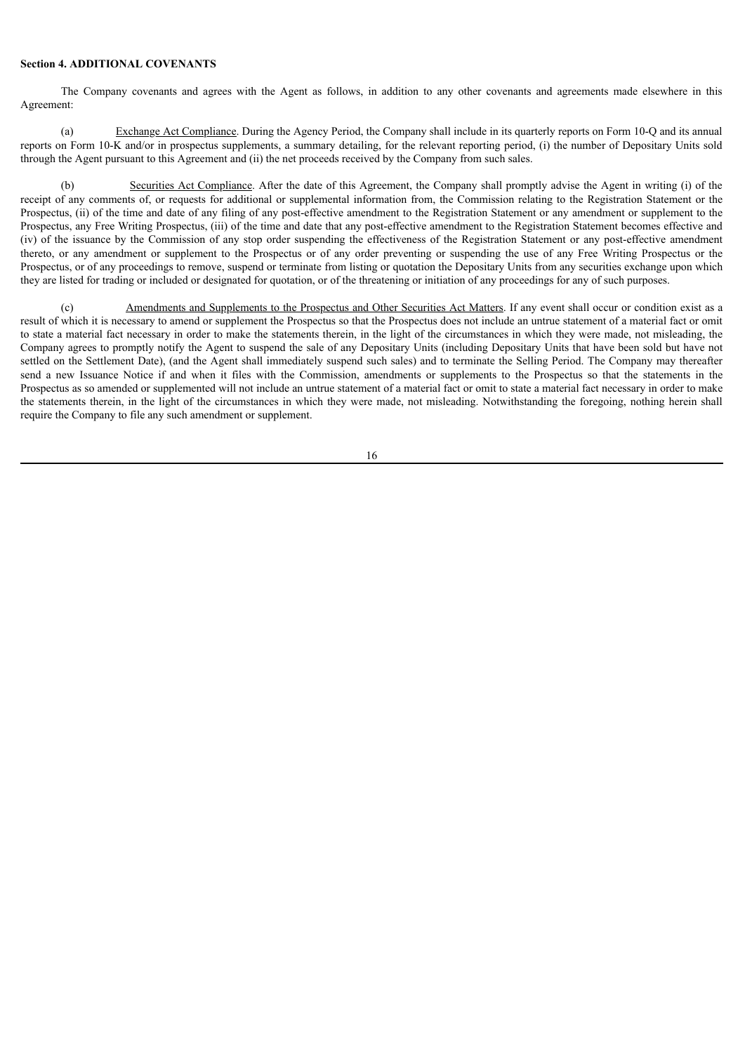# **Section 4. ADDITIONAL COVENANTS**

The Company covenants and agrees with the Agent as follows, in addition to any other covenants and agreements made elsewhere in this Agreement:

(a) Exchange Act Compliance. During the Agency Period, the Company shall include in its quarterly reports on Form 10-Q and its annual reports on Form 10-K and/or in prospectus supplements, a summary detailing, for the relevant reporting period, (i) the number of Depositary Units sold through the Agent pursuant to this Agreement and (ii) the net proceeds received by the Company from such sales.

(b) Securities Act Compliance. After the date of this Agreement, the Company shall promptly advise the Agent in writing (i) of the receipt of any comments of, or requests for additional or supplemental information from, the Commission relating to the Registration Statement or the Prospectus, (ii) of the time and date of any filing of any post-effective amendment to the Registration Statement or any amendment or supplement to the Prospectus, any Free Writing Prospectus, (iii) of the time and date that any post-effective amendment to the Registration Statement becomes effective and (iv) of the issuance by the Commission of any stop order suspending the effectiveness of the Registration Statement or any post-effective amendment thereto, or any amendment or supplement to the Prospectus or of any order preventing or suspending the use of any Free Writing Prospectus or the Prospectus, or of any proceedings to remove, suspend or terminate from listing or quotation the Depositary Units from any securities exchange upon which they are listed for trading or included or designated for quotation, or of the threatening or initiation of any proceedings for any of such purposes.

(c) Amendments and Supplements to the Prospectus and Other Securities Act Matters. If any event shall occur or condition exist as a result of which it is necessary to amend or supplement the Prospectus so that the Prospectus does not include an untrue statement of a material fact or omit to state a material fact necessary in order to make the statements therein, in the light of the circumstances in which they were made, not misleading, the Company agrees to promptly notify the Agent to suspend the sale of any Depositary Units (including Depositary Units that have been sold but have not settled on the Settlement Date), (and the Agent shall immediately suspend such sales) and to terminate the Selling Period. The Company may thereafter send a new Issuance Notice if and when it files with the Commission, amendments or supplements to the Prospectus so that the statements in the Prospectus as so amended or supplemented will not include an untrue statement of a material fact or omit to state a material fact necessary in order to make the statements therein, in the light of the circumstances in which they were made, not misleading. Notwithstanding the foregoing, nothing herein shall require the Company to file any such amendment or supplement.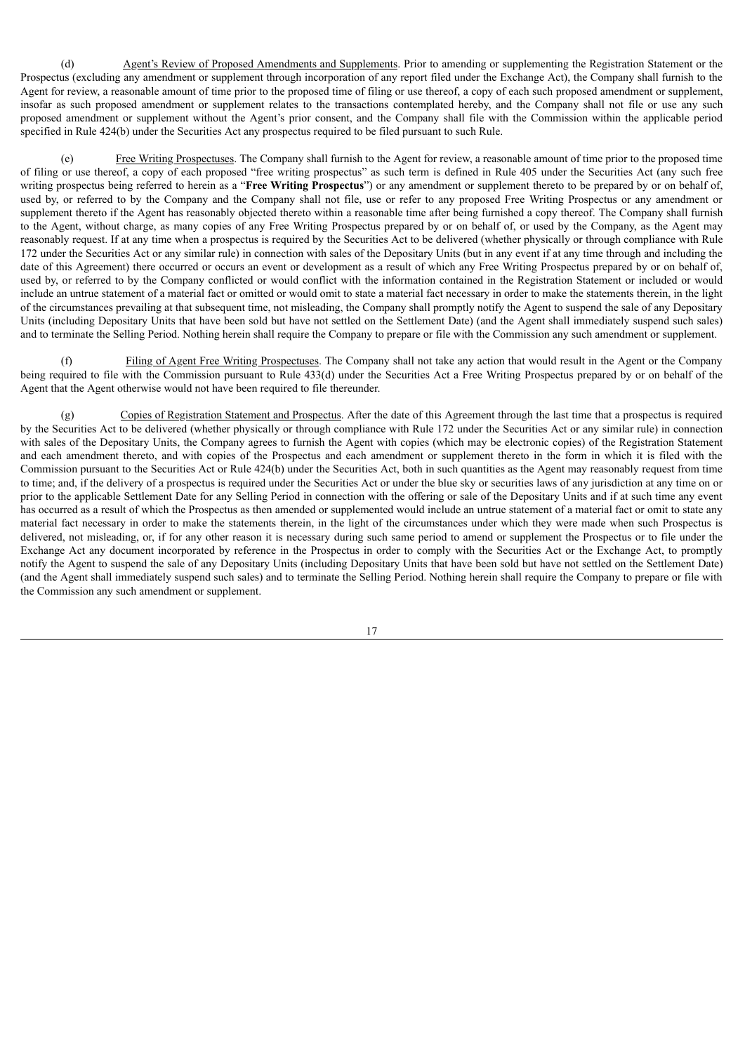(d) Agent's Review of Proposed Amendments and Supplements. Prior to amending or supplementing the Registration Statement or the Prospectus (excluding any amendment or supplement through incorporation of any report filed under the Exchange Act), the Company shall furnish to the Agent for review, a reasonable amount of time prior to the proposed time of filing or use thereof, a copy of each such proposed amendment or supplement, insofar as such proposed amendment or supplement relates to the transactions contemplated hereby, and the Company shall not file or use any such proposed amendment or supplement without the Agent's prior consent, and the Company shall file with the Commission within the applicable period specified in Rule 424(b) under the Securities Act any prospectus required to be filed pursuant to such Rule.

(e) Free Writing Prospectuses. The Company shall furnish to the Agent for review, a reasonable amount of time prior to the proposed time of filing or use thereof, a copy of each proposed "free writing prospectus" as such term is defined in Rule 405 under the Securities Act (any such free writing prospectus being referred to herein as a "**Free Writing Prospectus**") or any amendment or supplement thereto to be prepared by or on behalf of, used by, or referred to by the Company and the Company shall not file, use or refer to any proposed Free Writing Prospectus or any amendment or supplement thereto if the Agent has reasonably objected thereto within a reasonable time after being furnished a copy thereof. The Company shall furnish to the Agent, without charge, as many copies of any Free Writing Prospectus prepared by or on behalf of, or used by the Company, as the Agent may reasonably request. If at any time when a prospectus is required by the Securities Act to be delivered (whether physically or through compliance with Rule 172 under the Securities Act or any similar rule) in connection with sales of the Depositary Units (but in any event if at any time through and including the date of this Agreement) there occurred or occurs an event or development as a result of which any Free Writing Prospectus prepared by or on behalf of, used by, or referred to by the Company conflicted or would conflict with the information contained in the Registration Statement or included or would include an untrue statement of a material fact or omitted or would omit to state a material fact necessary in order to make the statements therein, in the light of the circumstances prevailing at that subsequent time, not misleading, the Company shall promptly notify the Agent to suspend the sale of any Depositary Units (including Depositary Units that have been sold but have not settled on the Settlement Date) (and the Agent shall immediately suspend such sales) and to terminate the Selling Period. Nothing herein shall require the Company to prepare or file with the Commission any such amendment or supplement.

Filing of Agent Free Writing Prospectuses. The Company shall not take any action that would result in the Agent or the Company being required to file with the Commission pursuant to Rule 433(d) under the Securities Act a Free Writing Prospectus prepared by or on behalf of the Agent that the Agent otherwise would not have been required to file thereunder.

(g) Copies of Registration Statement and Prospectus. After the date of this Agreement through the last time that a prospectus is required by the Securities Act to be delivered (whether physically or through compliance with Rule 172 under the Securities Act or any similar rule) in connection with sales of the Depositary Units, the Company agrees to furnish the Agent with copies (which may be electronic copies) of the Registration Statement and each amendment thereto, and with copies of the Prospectus and each amendment or supplement thereto in the form in which it is filed with the Commission pursuant to the Securities Act or Rule 424(b) under the Securities Act, both in such quantities as the Agent may reasonably request from time to time; and, if the delivery of a prospectus is required under the Securities Act or under the blue sky or securities laws of any jurisdiction at any time on or prior to the applicable Settlement Date for any Selling Period in connection with the offering or sale of the Depositary Units and if at such time any event has occurred as a result of which the Prospectus as then amended or supplemented would include an untrue statement of a material fact or omit to state any material fact necessary in order to make the statements therein, in the light of the circumstances under which they were made when such Prospectus is delivered, not misleading, or, if for any other reason it is necessary during such same period to amend or supplement the Prospectus or to file under the Exchange Act any document incorporated by reference in the Prospectus in order to comply with the Securities Act or the Exchange Act, to promptly notify the Agent to suspend the sale of any Depositary Units (including Depositary Units that have been sold but have not settled on the Settlement Date) (and the Agent shall immediately suspend such sales) and to terminate the Selling Period. Nothing herein shall require the Company to prepare or file with the Commission any such amendment or supplement.

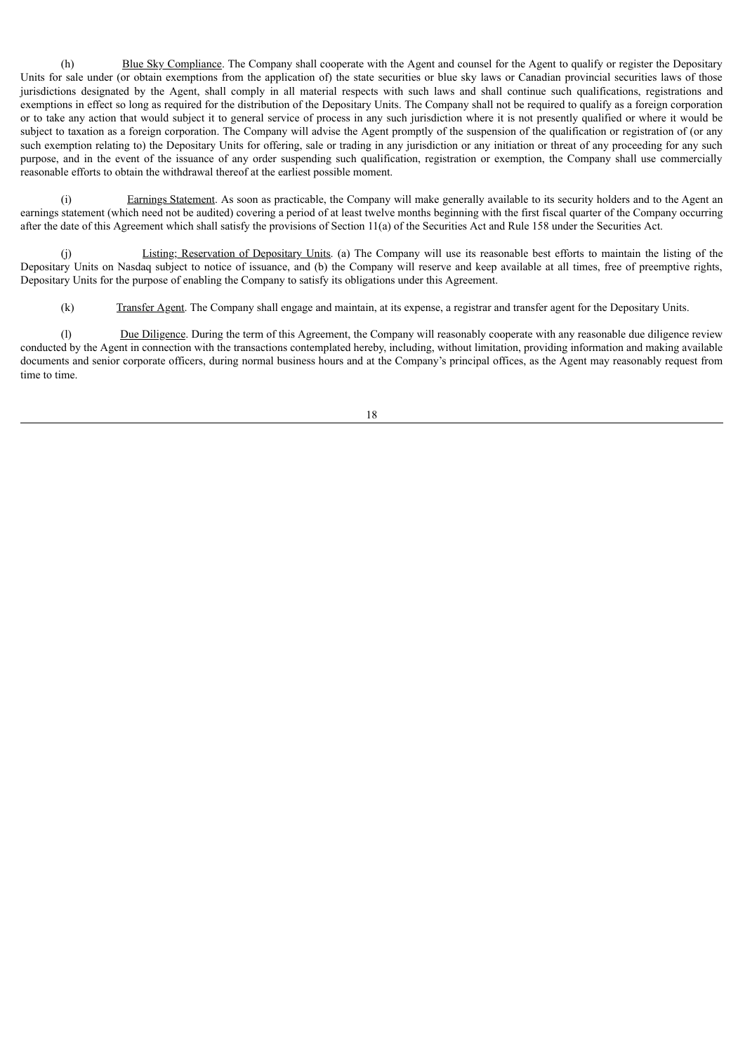(h) Blue Sky Compliance. The Company shall cooperate with the Agent and counsel for the Agent to qualify or register the Depositary Units for sale under (or obtain exemptions from the application of) the state securities or blue sky laws or Canadian provincial securities laws of those jurisdictions designated by the Agent, shall comply in all material respects with such laws and shall continue such qualifications, registrations and exemptions in effect so long as required for the distribution of the Depositary Units. The Company shall not be required to qualify as a foreign corporation or to take any action that would subject it to general service of process in any such jurisdiction where it is not presently qualified or where it would be subject to taxation as a foreign corporation. The Company will advise the Agent promptly of the suspension of the qualification or registration of (or any such exemption relating to) the Depositary Units for offering, sale or trading in any jurisdiction or any initiation or threat of any proceeding for any such purpose, and in the event of the issuance of any order suspending such qualification, registration or exemption, the Company shall use commercially reasonable efforts to obtain the withdrawal thereof at the earliest possible moment.

(i) Earnings Statement. As soon as practicable, the Company will make generally available to its security holders and to the Agent an earnings statement (which need not be audited) covering a period of at least twelve months beginning with the first fiscal quarter of the Company occurring after the date of this Agreement which shall satisfy the provisions of Section 11(a) of the Securities Act and Rule 158 under the Securities Act.

(j) Listing; Reservation of Depositary Units. (a) The Company will use its reasonable best efforts to maintain the listing of the Depositary Units on Nasdaq subject to notice of issuance, and (b) the Company will reserve and keep available at all times, free of preemptive rights, Depositary Units for the purpose of enabling the Company to satisfy its obligations under this Agreement.

(k) Transfer Agent. The Company shall engage and maintain, at its expense, a registrar and transfer agent for the Depositary Units.

(l) Due Diligence. During the term of this Agreement, the Company will reasonably cooperate with any reasonable due diligence review conducted by the Agent in connection with the transactions contemplated hereby, including, without limitation, providing information and making available documents and senior corporate officers, during normal business hours and at the Company's principal offices, as the Agent may reasonably request from time to time.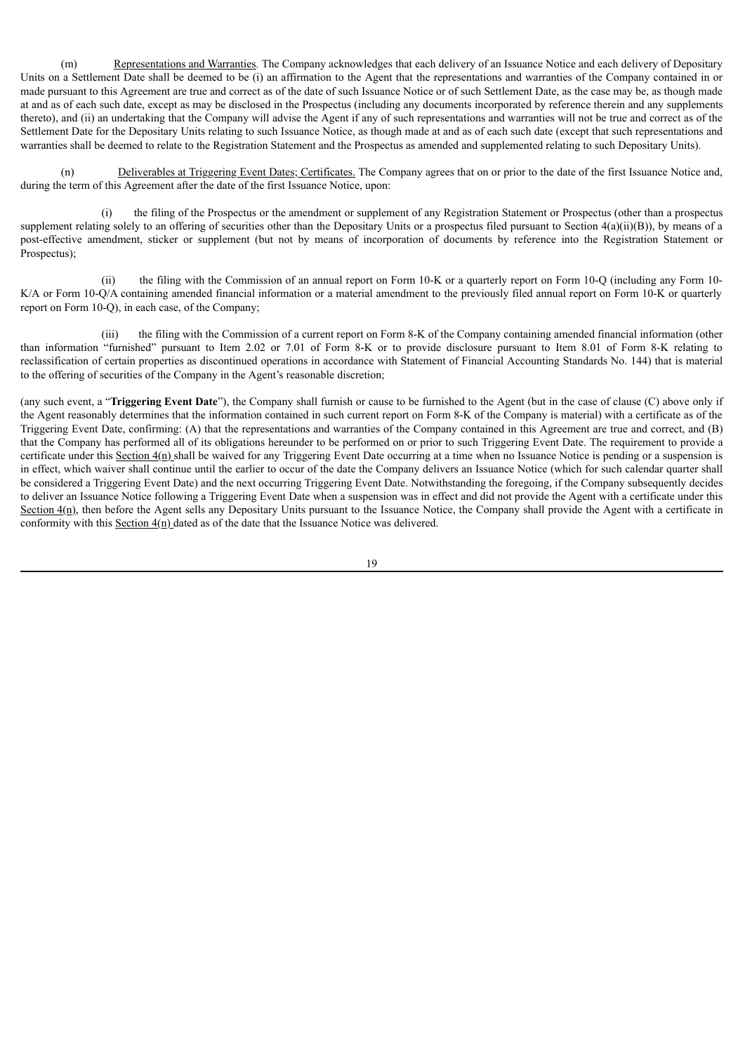(m) Representations and Warranties. The Company acknowledges that each delivery of an Issuance Notice and each delivery of Depositary Units on a Settlement Date shall be deemed to be (i) an affirmation to the Agent that the representations and warranties of the Company contained in or made pursuant to this Agreement are true and correct as of the date of such Issuance Notice or of such Settlement Date, as the case may be, as though made at and as of each such date, except as may be disclosed in the Prospectus (including any documents incorporated by reference therein and any supplements thereto), and (ii) an undertaking that the Company will advise the Agent if any of such representations and warranties will not be true and correct as of the Settlement Date for the Depositary Units relating to such Issuance Notice, as though made at and as of each such date (except that such representations and warranties shall be deemed to relate to the Registration Statement and the Prospectus as amended and supplemented relating to such Depositary Units).

(n) Deliverables at Triggering Event Dates; Certificates. The Company agrees that on or prior to the date of the first Issuance Notice and, during the term of this Agreement after the date of the first Issuance Notice, upon:

(i) the filing of the Prospectus or the amendment or supplement of any Registration Statement or Prospectus (other than a prospectus supplement relating solely to an offering of securities other than the Depositary Units or a prospectus filed pursuant to Section 4(a)(ii)(B)), by means of a post-effective amendment, sticker or supplement (but not by means of incorporation of documents by reference into the Registration Statement or Prospectus);

(ii) the filing with the Commission of an annual report on Form 10-K or a quarterly report on Form 10-Q (including any Form 10- K/A or Form 10-Q/A containing amended financial information or a material amendment to the previously filed annual report on Form 10-K or quarterly report on Form 10-Q), in each case, of the Company;

(iii) the filing with the Commission of a current report on Form 8-K of the Company containing amended financial information (other than information "furnished" pursuant to Item 2.02 or 7.01 of Form 8-K or to provide disclosure pursuant to Item 8.01 of Form 8-K relating to reclassification of certain properties as discontinued operations in accordance with Statement of Financial Accounting Standards No. 144) that is material to the offering of securities of the Company in the Agent's reasonable discretion;

(any such event, a "**Triggering Event Date**"), the Company shall furnish or cause to be furnished to the Agent (but in the case of clause (C) above only if the Agent reasonably determines that the information contained in such current report on Form 8-K of the Company is material) with a certificate as of the Triggering Event Date, confirming: (A) that the representations and warranties of the Company contained in this Agreement are true and correct, and (B) that the Company has performed all of its obligations hereunder to be performed on or prior to such Triggering Event Date. The requirement to provide a certificate under this Section  $4(n)$  shall be waived for any Triggering Event Date occurring at a time when no Issuance Notice is pending or a suspension is in effect, which waiver shall continue until the earlier to occur of the date the Company delivers an Issuance Notice (which for such calendar quarter shall be considered a Triggering Event Date) and the next occurring Triggering Event Date. Notwithstanding the foregoing, if the Company subsequently decides to deliver an Issuance Notice following a Triggering Event Date when a suspension was in effect and did not provide the Agent with a certificate under this Section  $4(n)$ , then before the Agent sells any Depositary Units pursuant to the Issuance Notice, the Company shall provide the Agent with a certificate in conformity with this Section  $4(n)$  dated as of the date that the Issuance Notice was delivered.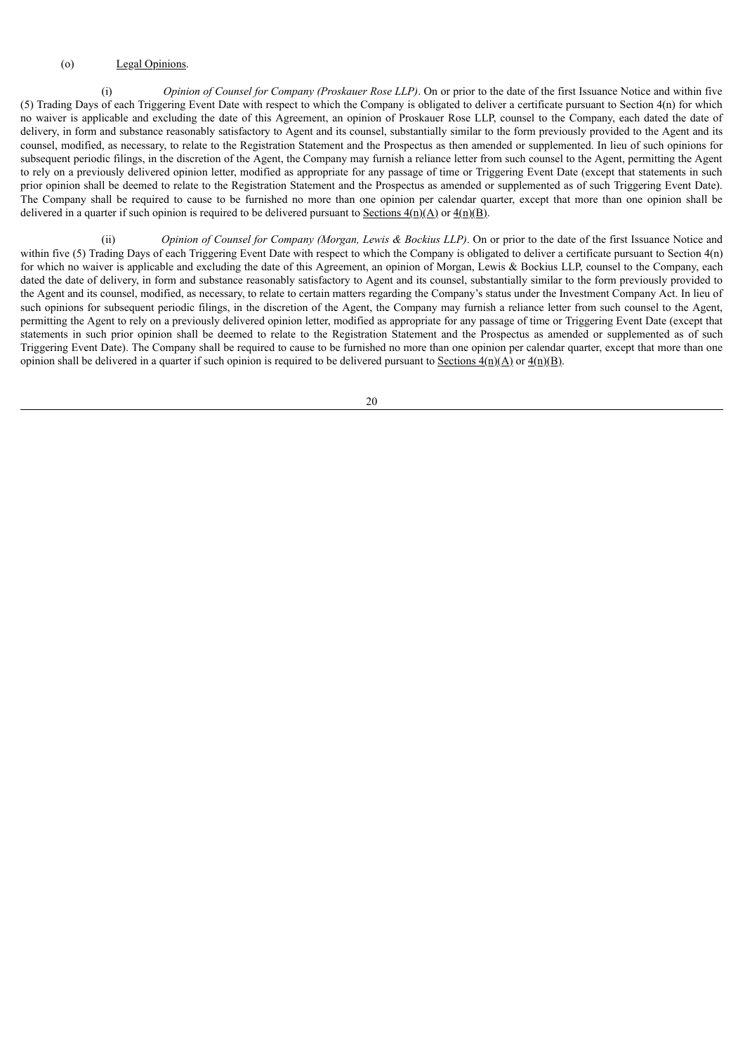# (o) Legal Opinions.

(i) *Opinion of Counsel for Company (Proskauer Rose LLP)*. On or prior to the date of the first Issuance Notice and within five (5) Trading Days of each Triggering Event Date with respect to which the Company is obligated to deliver a certificate pursuant to Section 4(n) for which no waiver is applicable and excluding the date of this Agreement, an opinion of Proskauer Rose LLP, counsel to the Company, each dated the date of delivery, in form and substance reasonably satisfactory to Agent and its counsel, substantially similar to the form previously provided to the Agent and its counsel, modified, as necessary, to relate to the Registration Statement and the Prospectus as then amended or supplemented. In lieu of such opinions for subsequent periodic filings, in the discretion of the Agent, the Company may furnish a reliance letter from such counsel to the Agent, permitting the Agent to rely on a previously delivered opinion letter, modified as appropriate for any passage of time or Triggering Event Date (except that statements in such prior opinion shall be deemed to relate to the Registration Statement and the Prospectus as amended or supplemented as of such Triggering Event Date). The Company shall be required to cause to be furnished no more than one opinion per calendar quarter, except that more than one opinion shall be delivered in a quarter if such opinion is required to be delivered pursuant to Sections  $4(n)(\Delta)$  or  $4(n)(\Delta)$ .

(ii) *Opinion of Counsel for Company (Morgan, Lewis & Bockius LLP)*. On or prior to the date of the first Issuance Notice and within five (5) Trading Days of each Triggering Event Date with respect to which the Company is obligated to deliver a certificate pursuant to Section 4(n) for which no waiver is applicable and excluding the date of this Agreement, an opinion of Morgan, Lewis & Bockius LLP, counsel to the Company, each dated the date of delivery, in form and substance reasonably satisfactory to Agent and its counsel, substantially similar to the form previously provided to the Agent and its counsel, modified, as necessary, to relate to certain matters regarding the Company's status under the Investment Company Act. In lieu of such opinions for subsequent periodic filings, in the discretion of the Agent, the Company may furnish a reliance letter from such counsel to the Agent, permitting the Agent to rely on a previously delivered opinion letter, modified as appropriate for any passage of time or Triggering Event Date (except that statements in such prior opinion shall be deemed to relate to the Registration Statement and the Prospectus as amended or supplemented as of such Triggering Event Date). The Company shall be required to cause to be furnished no more than one opinion per calendar quarter, except that more than one opinion shall be delivered in a quarter if such opinion is required to be delivered pursuant to Sections  $4(n)(A)$  or  $4(n)(B)$ .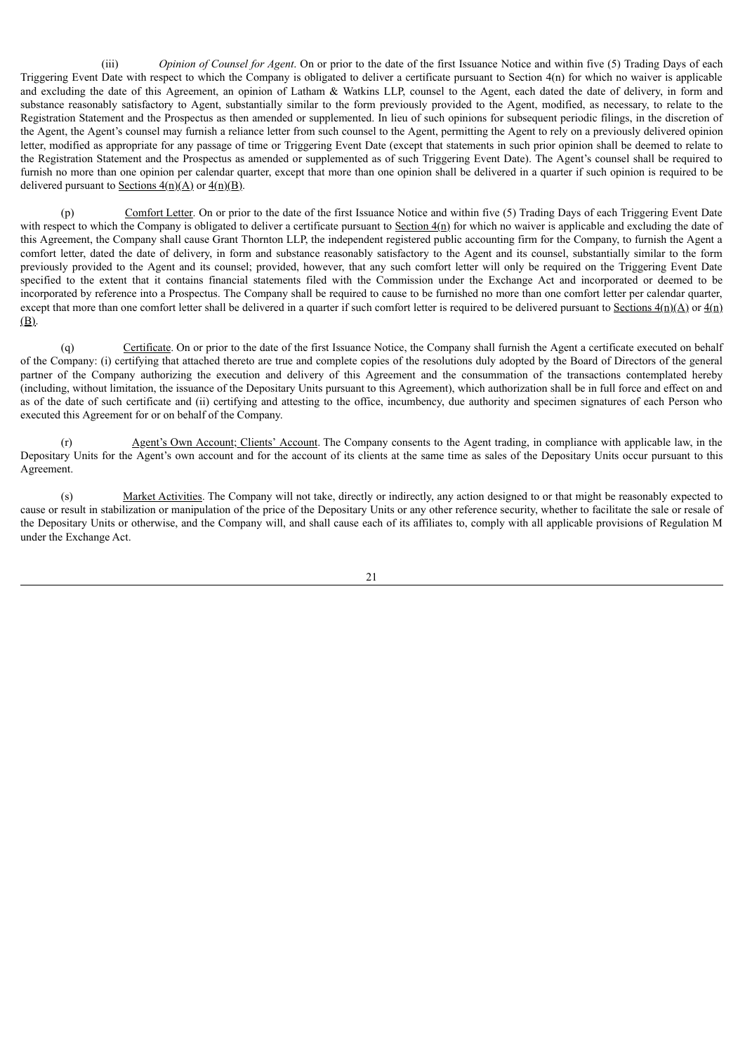(iii) *Opinion of Counsel for Agent*. On or prior to the date of the first Issuance Notice and within five (5) Trading Days of each Triggering Event Date with respect to which the Company is obligated to deliver a certificate pursuant to Section 4(n) for which no waiver is applicable and excluding the date of this Agreement, an opinion of Latham & Watkins LLP, counsel to the Agent, each dated the date of delivery, in form and substance reasonably satisfactory to Agent, substantially similar to the form previously provided to the Agent, modified, as necessary, to relate to the Registration Statement and the Prospectus as then amended or supplemented. In lieu of such opinions for subsequent periodic filings, in the discretion of the Agent, the Agent's counsel may furnish a reliance letter from such counsel to the Agent, permitting the Agent to rely on a previously delivered opinion letter, modified as appropriate for any passage of time or Triggering Event Date (except that statements in such prior opinion shall be deemed to relate to the Registration Statement and the Prospectus as amended or supplemented as of such Triggering Event Date). The Agent's counsel shall be required to furnish no more than one opinion per calendar quarter, except that more than one opinion shall be delivered in a quarter if such opinion is required to be delivered pursuant to Sections  $4(n)(A)$  or  $4(n)(B)$ .

(p) Comfort Letter. On or prior to the date of the first Issuance Notice and within five (5) Trading Days of each Triggering Event Date with respect to which the Company is obligated to deliver a certificate pursuant to Section  $4(n)$  for which no waiver is applicable and excluding the date of this Agreement, the Company shall cause Grant Thornton LLP, the independent registered public accounting firm for the Company, to furnish the Agent a comfort letter, dated the date of delivery, in form and substance reasonably satisfactory to the Agent and its counsel, substantially similar to the form previously provided to the Agent and its counsel; provided, however, that any such comfort letter will only be required on the Triggering Event Date specified to the extent that it contains financial statements filed with the Commission under the Exchange Act and incorporated or deemed to be incorporated by reference into a Prospectus. The Company shall be required to cause to be furnished no more than one comfort letter per calendar quarter, except that more than one comfort letter shall be delivered in a quarter if such comfort letter is required to be delivered pursuant to Sections  $4(n)(A)$  or  $4(n)$ (B).

(q) Certificate. On or prior to the date of the first Issuance Notice, the Company shall furnish the Agent a certificate executed on behalf of the Company: (i) certifying that attached thereto are true and complete copies of the resolutions duly adopted by the Board of Directors of the general partner of the Company authorizing the execution and delivery of this Agreement and the consummation of the transactions contemplated hereby (including, without limitation, the issuance of the Depositary Units pursuant to this Agreement), which authorization shall be in full force and effect on and as of the date of such certificate and (ii) certifying and attesting to the office, incumbency, due authority and specimen signatures of each Person who executed this Agreement for or on behalf of the Company.

(r) Agent's Own Account; Clients' Account. The Company consents to the Agent trading, in compliance with applicable law, in the Depositary Units for the Agent's own account and for the account of its clients at the same time as sales of the Depositary Units occur pursuant to this Agreement.

(s) Market Activities. The Company will not take, directly or indirectly, any action designed to or that might be reasonably expected to cause or result in stabilization or manipulation of the price of the Depositary Units or any other reference security, whether to facilitate the sale or resale of the Depositary Units or otherwise, and the Company will, and shall cause each of its affiliates to, comply with all applicable provisions of Regulation M under the Exchange Act.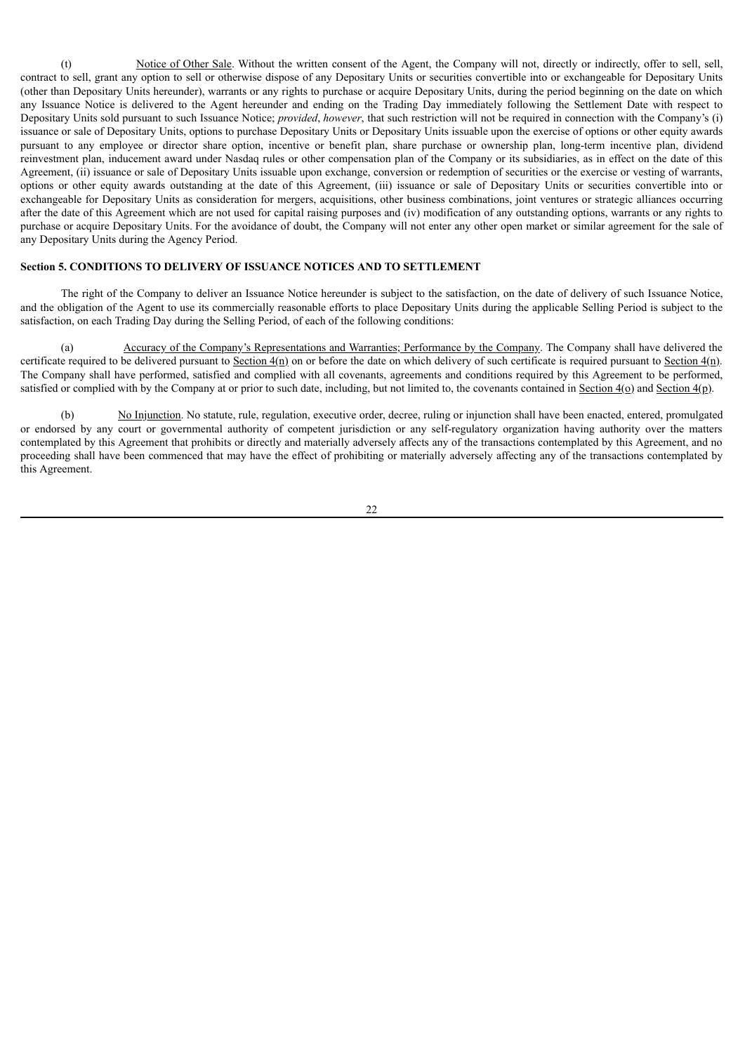(t) Notice of Other Sale. Without the written consent of the Agent, the Company will not, directly or indirectly, offer to sell, sell, contract to sell, grant any option to sell or otherwise dispose of any Depositary Units or securities convertible into or exchangeable for Depositary Units (other than Depositary Units hereunder), warrants or any rights to purchase or acquire Depositary Units, during the period beginning on the date on which any Issuance Notice is delivered to the Agent hereunder and ending on the Trading Day immediately following the Settlement Date with respect to Depositary Units sold pursuant to such Issuance Notice; *provided*, *however*, that such restriction will not be required in connection with the Company's (i) issuance or sale of Depositary Units, options to purchase Depositary Units or Depositary Units issuable upon the exercise of options or other equity awards pursuant to any employee or director share option, incentive or benefit plan, share purchase or ownership plan, long-term incentive plan, dividend reinvestment plan, inducement award under Nasdaq rules or other compensation plan of the Company or its subsidiaries, as in effect on the date of this Agreement, (ii) issuance or sale of Depositary Units issuable upon exchange, conversion or redemption of securities or the exercise or vesting of warrants, options or other equity awards outstanding at the date of this Agreement, (iii) issuance or sale of Depositary Units or securities convertible into or exchangeable for Depositary Units as consideration for mergers, acquisitions, other business combinations, joint ventures or strategic alliances occurring after the date of this Agreement which are not used for capital raising purposes and (iv) modification of any outstanding options, warrants or any rights to purchase or acquire Depositary Units. For the avoidance of doubt, the Company will not enter any other open market or similar agreement for the sale of any Depositary Units during the Agency Period.

# **Section 5. CONDITIONS TO DELIVERY OF ISSUANCE NOTICES AND TO SETTLEMENT**

The right of the Company to deliver an Issuance Notice hereunder is subject to the satisfaction, on the date of delivery of such Issuance Notice, and the obligation of the Agent to use its commercially reasonable efforts to place Depositary Units during the applicable Selling Period is subject to the satisfaction, on each Trading Day during the Selling Period, of each of the following conditions:

(a) Accuracy of the Company's Representations and Warranties; Performance by the Company. The Company shall have delivered the certificate required to be delivered pursuant to Section  $4(n)$  on or before the date on which delivery of such certificate is required pursuant to Section  $4(n)$ . The Company shall have performed, satisfied and complied with all covenants, agreements and conditions required by this Agreement to be performed, satisfied or complied with by the Company at or prior to such date, including, but not limited to, the covenants contained in Section  $4(\rho)$  and Section  $4(\rho)$ .

(b) No Injunction. No statute, rule, regulation, executive order, decree, ruling or injunction shall have been enacted, entered, promulgated or endorsed by any court or governmental authority of competent jurisdiction or any self-regulatory organization having authority over the matters contemplated by this Agreement that prohibits or directly and materially adversely affects any of the transactions contemplated by this Agreement, and no proceeding shall have been commenced that may have the effect of prohibiting or materially adversely affecting any of the transactions contemplated by this Agreement.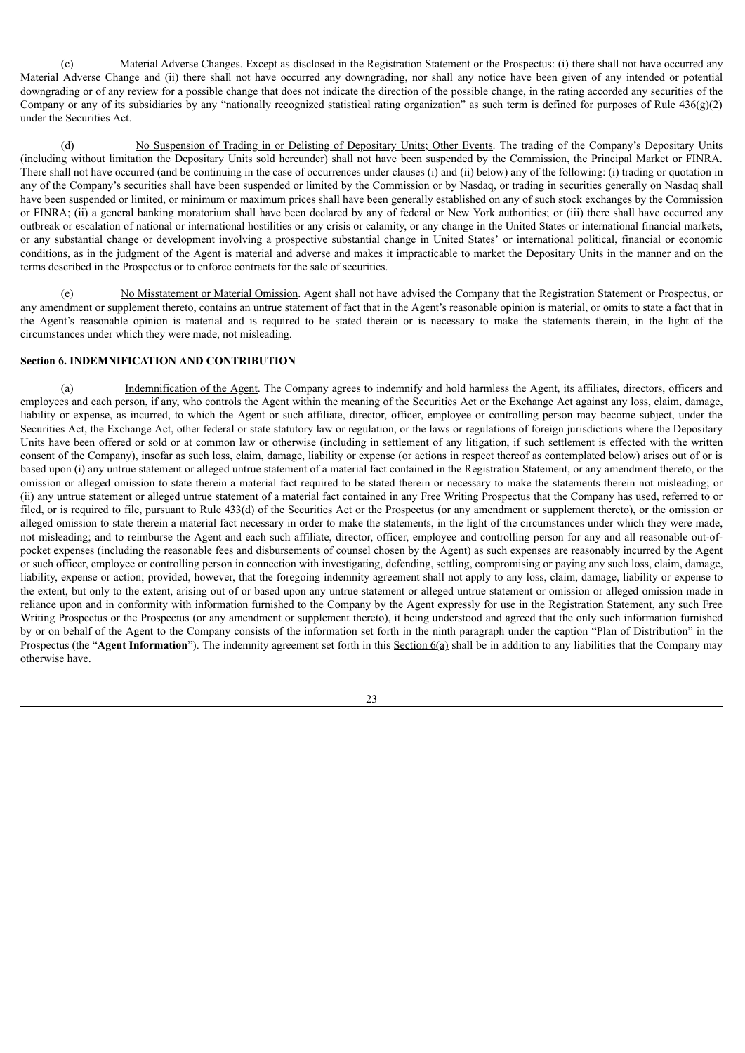(c) Material Adverse Changes. Except as disclosed in the Registration Statement or the Prospectus: (i) there shall not have occurred any Material Adverse Change and (ii) there shall not have occurred any downgrading, nor shall any notice have been given of any intended or potential downgrading or of any review for a possible change that does not indicate the direction of the possible change, in the rating accorded any securities of the Company or any of its subsidiaries by any "nationally recognized statistical rating organization" as such term is defined for purposes of Rule  $436(g)(2)$ under the Securities Act.

(d) No Suspension of Trading in or Delisting of Depositary Units; Other Events. The trading of the Company's Depositary Units (including without limitation the Depositary Units sold hereunder) shall not have been suspended by the Commission, the Principal Market or FINRA. There shall not have occurred (and be continuing in the case of occurrences under clauses (i) and (ii) below) any of the following: (i) trading or quotation in any of the Company's securities shall have been suspended or limited by the Commission or by Nasdaq, or trading in securities generally on Nasdaq shall have been suspended or limited, or minimum or maximum prices shall have been generally established on any of such stock exchanges by the Commission or FINRA; (ii) a general banking moratorium shall have been declared by any of federal or New York authorities; or (iii) there shall have occurred any outbreak or escalation of national or international hostilities or any crisis or calamity, or any change in the United States or international financial markets, or any substantial change or development involving a prospective substantial change in United States' or international political, financial or economic conditions, as in the judgment of the Agent is material and adverse and makes it impracticable to market the Depositary Units in the manner and on the terms described in the Prospectus or to enforce contracts for the sale of securities.

(e) No Misstatement or Material Omission. Agent shall not have advised the Company that the Registration Statement or Prospectus, or any amendment or supplement thereto, contains an untrue statement of fact that in the Agent's reasonable opinion is material, or omits to state a fact that in the Agent's reasonable opinion is material and is required to be stated therein or is necessary to make the statements therein, in the light of the circumstances under which they were made, not misleading.

### **Section 6. INDEMNIFICATION AND CONTRIBUTION**

(a) Indemnification of the Agent. The Company agrees to indemnify and hold harmless the Agent, its affiliates, directors, officers and employees and each person, if any, who controls the Agent within the meaning of the Securities Act or the Exchange Act against any loss, claim, damage, liability or expense, as incurred, to which the Agent or such affiliate, director, officer, employee or controlling person may become subject, under the Securities Act, the Exchange Act, other federal or state statutory law or regulation, or the laws or regulations of foreign jurisdictions where the Depositary Units have been offered or sold or at common law or otherwise (including in settlement of any litigation, if such settlement is effected with the written consent of the Company), insofar as such loss, claim, damage, liability or expense (or actions in respect thereof as contemplated below) arises out of or is based upon (i) any untrue statement or alleged untrue statement of a material fact contained in the Registration Statement, or any amendment thereto, or the omission or alleged omission to state therein a material fact required to be stated therein or necessary to make the statements therein not misleading; or (ii) any untrue statement or alleged untrue statement of a material fact contained in any Free Writing Prospectus that the Company has used, referred to or filed, or is required to file, pursuant to Rule 433(d) of the Securities Act or the Prospectus (or any amendment or supplement thereto), or the omission or alleged omission to state therein a material fact necessary in order to make the statements, in the light of the circumstances under which they were made, not misleading; and to reimburse the Agent and each such affiliate, director, officer, employee and controlling person for any and all reasonable out-ofpocket expenses (including the reasonable fees and disbursements of counsel chosen by the Agent) as such expenses are reasonably incurred by the Agent or such officer, employee or controlling person in connection with investigating, defending, settling, compromising or paying any such loss, claim, damage, liability, expense or action; provided, however, that the foregoing indemnity agreement shall not apply to any loss, claim, damage, liability or expense to the extent, but only to the extent, arising out of or based upon any untrue statement or alleged untrue statement or omission or alleged omission made in reliance upon and in conformity with information furnished to the Company by the Agent expressly for use in the Registration Statement, any such Free Writing Prospectus or the Prospectus (or any amendment or supplement thereto), it being understood and agreed that the only such information furnished by or on behalf of the Agent to the Company consists of the information set forth in the ninth paragraph under the caption "Plan of Distribution" in the Prospectus (the "**Agent Information**"). The indemnity agreement set forth in this Section 6(a) shall be in addition to any liabilities that the Company may otherwise have.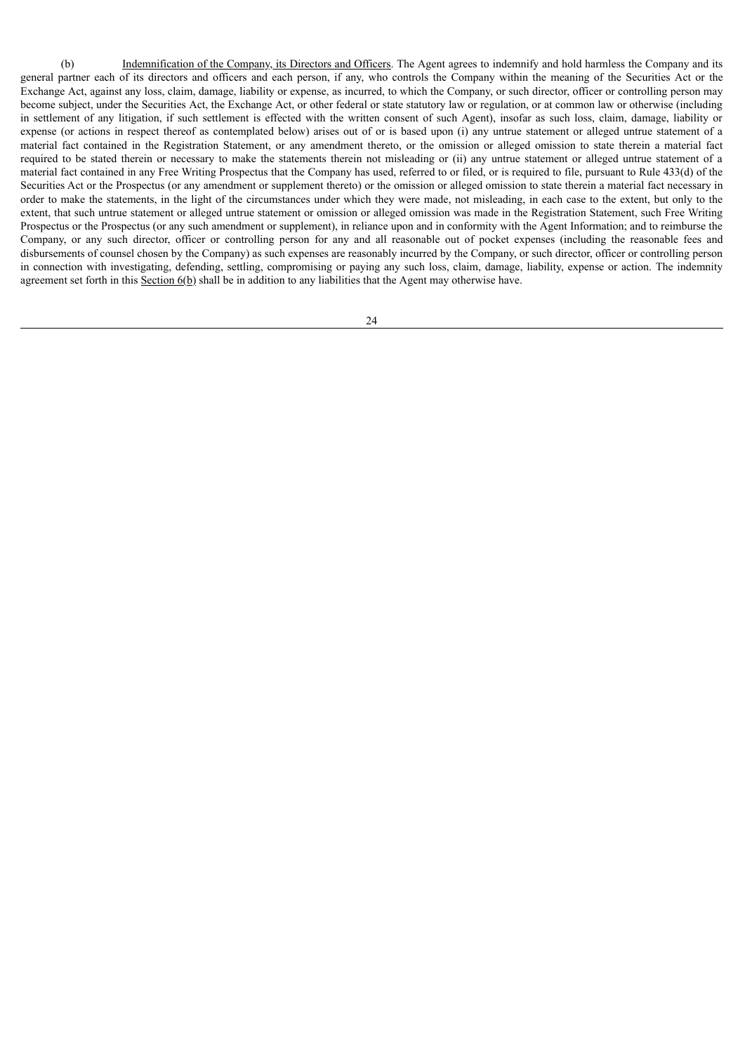(b) Indemnification of the Company, its Directors and Officers. The Agent agrees to indemnify and hold harmless the Company and its general partner each of its directors and officers and each person, if any, who controls the Company within the meaning of the Securities Act or the Exchange Act, against any loss, claim, damage, liability or expense, as incurred, to which the Company, or such director, officer or controlling person may become subject, under the Securities Act, the Exchange Act, or other federal or state statutory law or regulation, or at common law or otherwise (including in settlement of any litigation, if such settlement is effected with the written consent of such Agent), insofar as such loss, claim, damage, liability or expense (or actions in respect thereof as contemplated below) arises out of or is based upon (i) any untrue statement or alleged untrue statement of a material fact contained in the Registration Statement, or any amendment thereto, or the omission or alleged omission to state therein a material fact required to be stated therein or necessary to make the statements therein not misleading or (ii) any untrue statement or alleged untrue statement of a material fact contained in any Free Writing Prospectus that the Company has used, referred to or filed, or is required to file, pursuant to Rule 433(d) of the Securities Act or the Prospectus (or any amendment or supplement thereto) or the omission or alleged omission to state therein a material fact necessary in order to make the statements, in the light of the circumstances under which they were made, not misleading, in each case to the extent, but only to the extent, that such untrue statement or alleged untrue statement or omission or alleged omission was made in the Registration Statement, such Free Writing Prospectus or the Prospectus (or any such amendment or supplement), in reliance upon and in conformity with the Agent Information; and to reimburse the Company, or any such director, officer or controlling person for any and all reasonable out of pocket expenses (including the reasonable fees and disbursements of counsel chosen by the Company) as such expenses are reasonably incurred by the Company, or such director, officer or controlling person in connection with investigating, defending, settling, compromising or paying any such loss, claim, damage, liability, expense or action. The indemnity agreement set forth in this  $Section 6(b)$  shall be in addition to any liabilities that the Agent may otherwise have.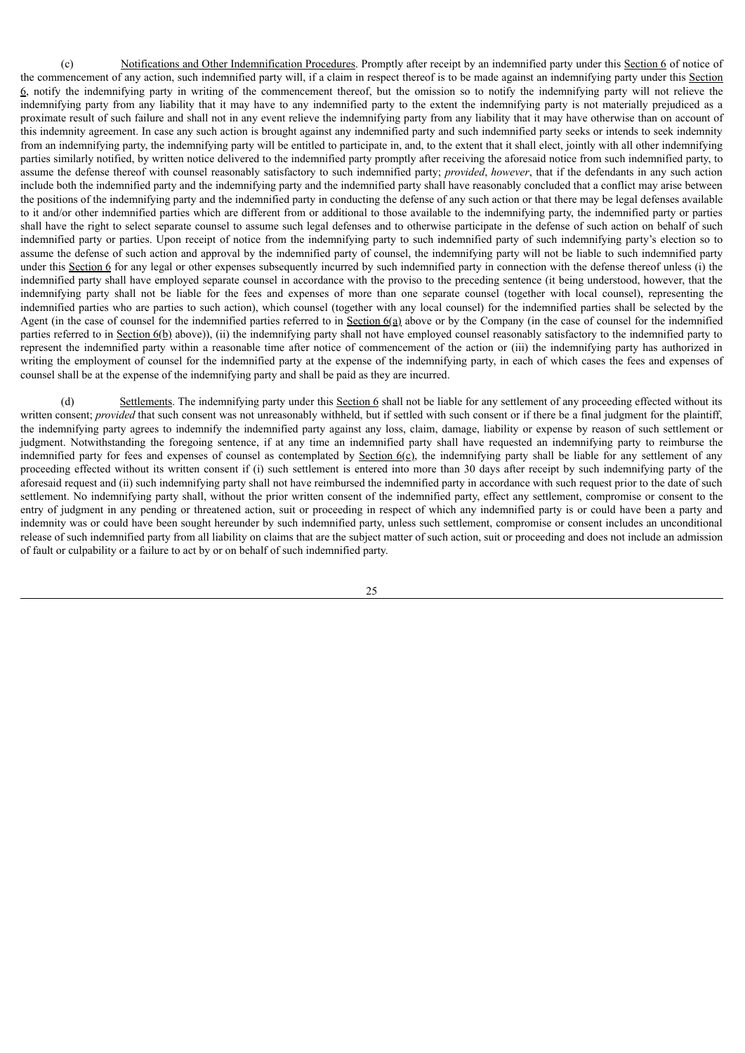(c) Notifications and Other Indemnification Procedures. Promptly after receipt by an indemnified party under this Section 6 of notice of the commencement of any action, such indemnified party will, if a claim in respect thereof is to be made against an indemnifying party under this Section 6, notify the indemnifying party in writing of the commencement thereof, but the omission so to notify the indemnifying party will not relieve the indemnifying party from any liability that it may have to any indemnified party to the extent the indemnifying party is not materially prejudiced as a proximate result of such failure and shall not in any event relieve the indemnifying party from any liability that it may have otherwise than on account of this indemnity agreement. In case any such action is brought against any indemnified party and such indemnified party seeks or intends to seek indemnity from an indemnifying party, the indemnifying party will be entitled to participate in, and, to the extent that it shall elect, jointly with all other indemnifying parties similarly notified, by written notice delivered to the indemnified party promptly after receiving the aforesaid notice from such indemnified party, to assume the defense thereof with counsel reasonably satisfactory to such indemnified party; *provided*, *however*, that if the defendants in any such action include both the indemnified party and the indemnifying party and the indemnified party shall have reasonably concluded that a conflict may arise between the positions of the indemnifying party and the indemnified party in conducting the defense of any such action or that there may be legal defenses available to it and/or other indemnified parties which are different from or additional to those available to the indemnifying party, the indemnified party or parties shall have the right to select separate counsel to assume such legal defenses and to otherwise participate in the defense of such action on behalf of such indemnified party or parties. Upon receipt of notice from the indemnifying party to such indemnified party of such indemnifying party's election so to assume the defense of such action and approval by the indemnified party of counsel, the indemnifying party will not be liable to such indemnified party under this Section  $6$  for any legal or other expenses subsequently incurred by such indemnified party in connection with the defense thereof unless (i) the indemnified party shall have employed separate counsel in accordance with the proviso to the preceding sentence (it being understood, however, that the indemnifying party shall not be liable for the fees and expenses of more than one separate counsel (together with local counsel), representing the indemnified parties who are parties to such action), which counsel (together with any local counsel) for the indemnified parties shall be selected by the Agent (in the case of counsel for the indemnified parties referred to in Section  $6(a)$  above or by the Company (in the case of counsel for the indemnified parties referred to in Section 6(b) above)), (ii) the indemnifying party shall not have employed counsel reasonably satisfactory to the indemnified party to represent the indemnified party within a reasonable time after notice of commencement of the action or (iii) the indemnifying party has authorized in writing the employment of counsel for the indemnified party at the expense of the indemnifying party, in each of which cases the fees and expenses of counsel shall be at the expense of the indemnifying party and shall be paid as they are incurred.

(d) Settlements. The indemnifying party under this Section 6 shall not be liable for any settlement of any proceeding effected without its written consent; *provided* that such consent was not unreasonably withheld, but if settled with such consent or if there be a final judgment for the plaintiff, the indemnifying party agrees to indemnify the indemnified party against any loss, claim, damage, liability or expense by reason of such settlement or judgment. Notwithstanding the foregoing sentence, if at any time an indemnified party shall have requested an indemnifying party to reimburse the indemnified party for fees and expenses of counsel as contemplated by Section  $6(c)$ , the indemnifying party shall be liable for any settlement of any proceeding effected without its written consent if (i) such settlement is entered into more than 30 days after receipt by such indemnifying party of the aforesaid request and (ii) such indemnifying party shall not have reimbursed the indemnified party in accordance with such request prior to the date of such settlement. No indemnifying party shall, without the prior written consent of the indemnified party, effect any settlement, compromise or consent to the entry of judgment in any pending or threatened action, suit or proceeding in respect of which any indemnified party is or could have been a party and indemnity was or could have been sought hereunder by such indemnified party, unless such settlement, compromise or consent includes an unconditional release of such indemnified party from all liability on claims that are the subject matter of such action, suit or proceeding and does not include an admission of fault or culpability or a failure to act by or on behalf of such indemnified party.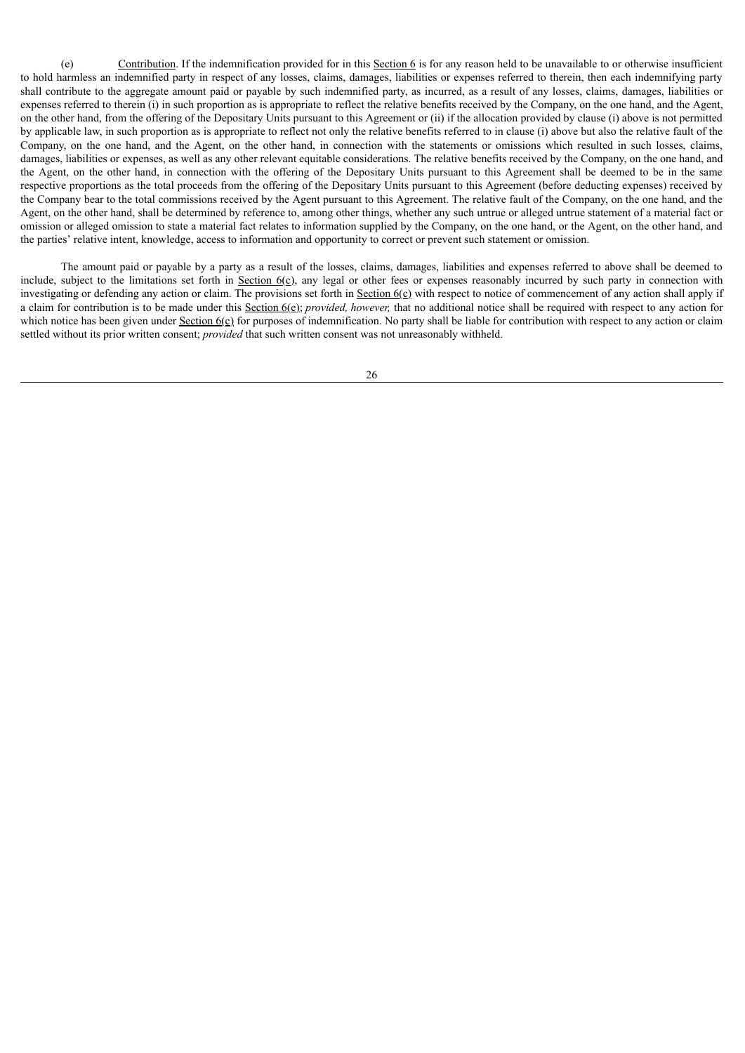(e) Contribution. If the indemnification provided for in this Section 6 is for any reason held to be unavailable to or otherwise insufficient to hold harmless an indemnified party in respect of any losses, claims, damages, liabilities or expenses referred to therein, then each indemnifying party shall contribute to the aggregate amount paid or payable by such indemnified party, as incurred, as a result of any losses, claims, damages, liabilities or expenses referred to therein (i) in such proportion as is appropriate to reflect the relative benefits received by the Company, on the one hand, and the Agent, on the other hand, from the offering of the Depositary Units pursuant to this Agreement or (ii) if the allocation provided by clause (i) above is not permitted by applicable law, in such proportion as is appropriate to reflect not only the relative benefits referred to in clause (i) above but also the relative fault of the Company, on the one hand, and the Agent, on the other hand, in connection with the statements or omissions which resulted in such losses, claims, damages, liabilities or expenses, as well as any other relevant equitable considerations. The relative benefits received by the Company, on the one hand, and the Agent, on the other hand, in connection with the offering of the Depositary Units pursuant to this Agreement shall be deemed to be in the same respective proportions as the total proceeds from the offering of the Depositary Units pursuant to this Agreement (before deducting expenses) received by the Company bear to the total commissions received by the Agent pursuant to this Agreement. The relative fault of the Company, on the one hand, and the Agent, on the other hand, shall be determined by reference to, among other things, whether any such untrue or alleged untrue statement of a material fact or omission or alleged omission to state a material fact relates to information supplied by the Company, on the one hand, or the Agent, on the other hand, and the parties' relative intent, knowledge, access to information and opportunity to correct or prevent such statement or omission.

The amount paid or payable by a party as a result of the losses, claims, damages, liabilities and expenses referred to above shall be deemed to include, subject to the limitations set forth in Section  $6(c)$ , any legal or other fees or expenses reasonably incurred by such party in connection with investigating or defending any action or claim. The provisions set forth in Section  $6(\text{c})$  with respect to notice of commencement of any action shall apply if a claim for contribution is to be made under this Section 6(e); *provided, however,* that no additional notice shall be required with respect to any action for which notice has been given under  $Section 6(\epsilon)$  for purposes of indemnification. No party shall be liable for contribution with respect to any action or claim settled without its prior written consent; *provided* that such written consent was not unreasonably withheld.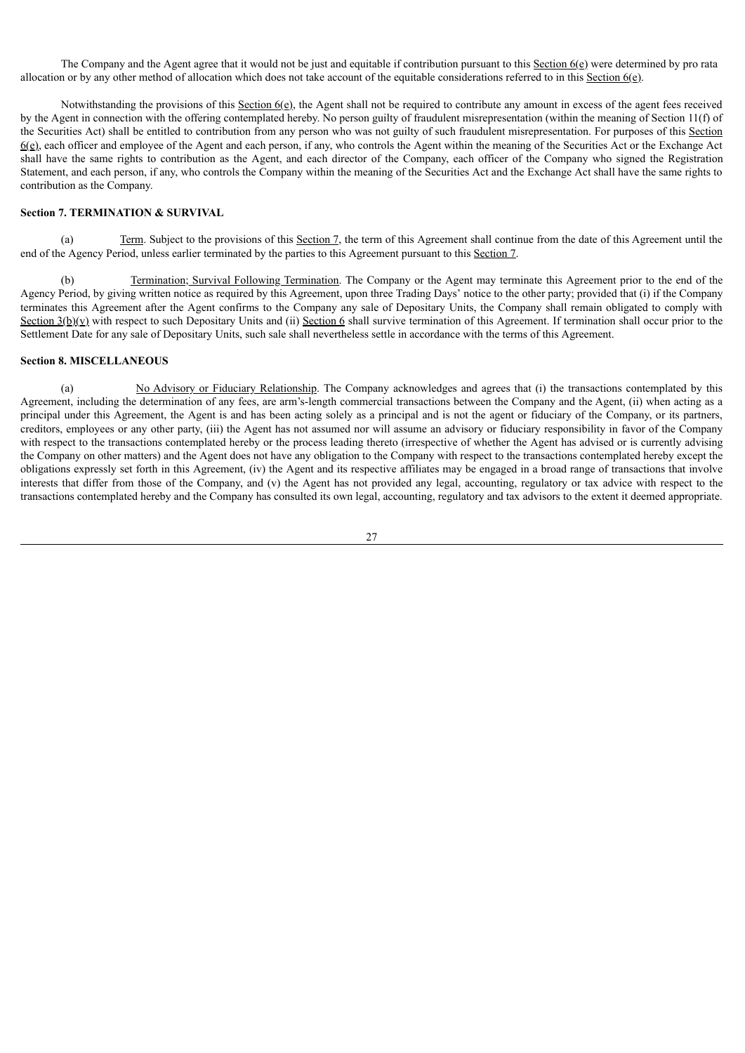The Company and the Agent agree that it would not be just and equitable if contribution pursuant to this Section 6(e) were determined by pro rata allocation or by any other method of allocation which does not take account of the equitable considerations referred to in this Section 6(e).

Notwithstanding the provisions of this Section 6(e), the Agent shall not be required to contribute any amount in excess of the agent fees received by the Agent in connection with the offering contemplated hereby. No person guilty of fraudulent misrepresentation (within the meaning of Section 11(f) of the Securities Act) shall be entitled to contribution from any person who was not guilty of such fraudulent misrepresentation. For purposes of this Section 6(e), each officer and employee of the Agent and each person, if any, who controls the Agent within the meaning of the Securities Act or the Exchange Act shall have the same rights to contribution as the Agent, and each director of the Company, each officer of the Company who signed the Registration Statement, and each person, if any, who controls the Company within the meaning of the Securities Act and the Exchange Act shall have the same rights to contribution as the Company.

### **Section 7. TERMINATION & SURVIVAL**

(a) Term. Subject to the provisions of this Section 7, the term of this Agreement shall continue from the date of this Agreement until the end of the Agency Period, unless earlier terminated by the parties to this Agreement pursuant to this Section 7.

(b) Termination; Survival Following Termination. The Company or the Agent may terminate this Agreement prior to the end of the Agency Period, by giving written notice as required by this Agreement, upon three Trading Days' notice to the other party; provided that (i) if the Company terminates this Agreement after the Agent confirms to the Company any sale of Depositary Units, the Company shall remain obligated to comply with Section  $3(b)(y)$  with respect to such Depositary Units and (ii) Section 6 shall survive termination of this Agreement. If termination shall occur prior to the Settlement Date for any sale of Depositary Units, such sale shall nevertheless settle in accordance with the terms of this Agreement.

### **Section 8. MISCELLANEOUS**

(a) No Advisory or Fiduciary Relationship. The Company acknowledges and agrees that (i) the transactions contemplated by this Agreement, including the determination of any fees, are arm's-length commercial transactions between the Company and the Agent, (ii) when acting as a principal under this Agreement, the Agent is and has been acting solely as a principal and is not the agent or fiduciary of the Company, or its partners, creditors, employees or any other party, (iii) the Agent has not assumed nor will assume an advisory or fiduciary responsibility in favor of the Company with respect to the transactions contemplated hereby or the process leading thereto (irrespective of whether the Agent has advised or is currently advising the Company on other matters) and the Agent does not have any obligation to the Company with respect to the transactions contemplated hereby except the obligations expressly set forth in this Agreement, (iv) the Agent and its respective affiliates may be engaged in a broad range of transactions that involve interests that differ from those of the Company, and (v) the Agent has not provided any legal, accounting, regulatory or tax advice with respect to the transactions contemplated hereby and the Company has consulted its own legal, accounting, regulatory and tax advisors to the extent it deemed appropriate.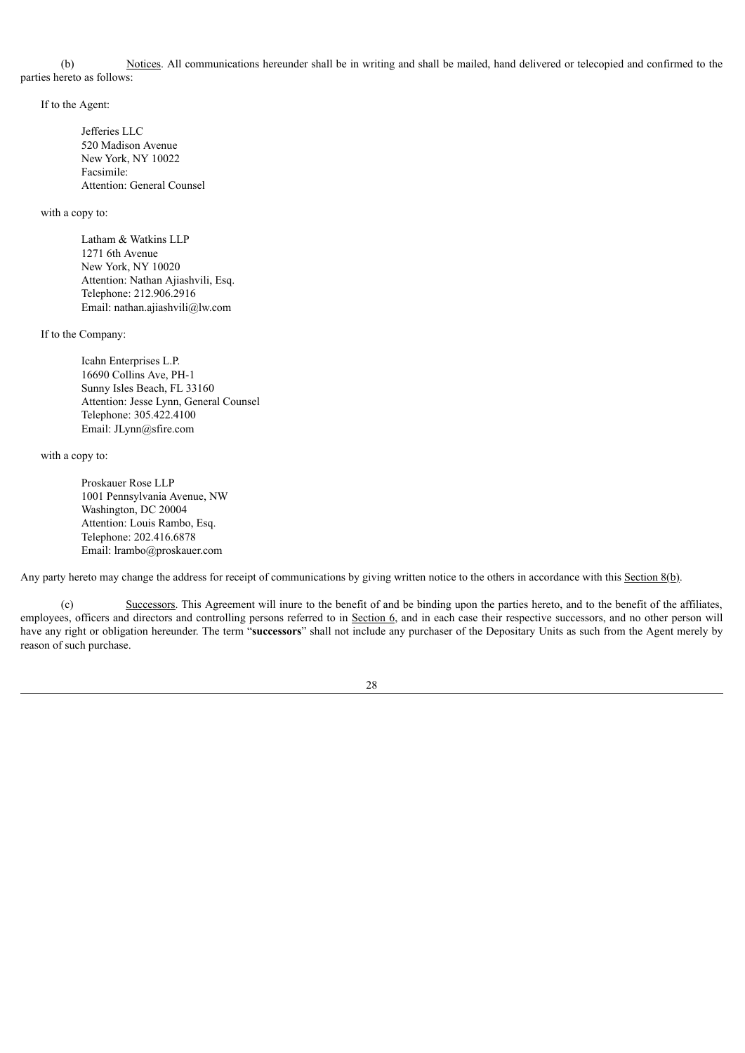(b) Notices. All communications hereunder shall be in writing and shall be mailed, hand delivered or telecopied and confirmed to the parties hereto as follows:

If to the Agent:

Jefferies LLC 520 Madison Avenue New York, NY 10022 Facsimile: Attention: General Counsel

with a copy to:

Latham & Watkins LLP 1271 6th Avenue New York, NY 10020 Attention: Nathan Ajiashvili, Esq. Telephone: 212.906.2916 Email: nathan.ajiashvili@lw.com

If to the Company:

Icahn Enterprises L.P. 16690 Collins Ave, PH-1 Sunny Isles Beach, FL 33160 Attention: Jesse Lynn, General Counsel Telephone: 305.422.4100 Email: JLynn@sfire.com

with a copy to:

Proskauer Rose LLP 1001 Pennsylvania Avenue, NW Washington, DC 20004 Attention: Louis Rambo, Esq. Telephone: 202.416.6878 Email: lrambo@proskauer.com

Any party hereto may change the address for receipt of communications by giving written notice to the others in accordance with this Section 8(b).

(c) Successors. This Agreement will inure to the benefit of and be binding upon the parties hereto, and to the benefit of the affiliates, employees, officers and directors and controlling persons referred to in Section 6, and in each case their respective successors, and no other person will have any right or obligation hereunder. The term "**successors**" shall not include any purchaser of the Depositary Units as such from the Agent merely by reason of such purchase.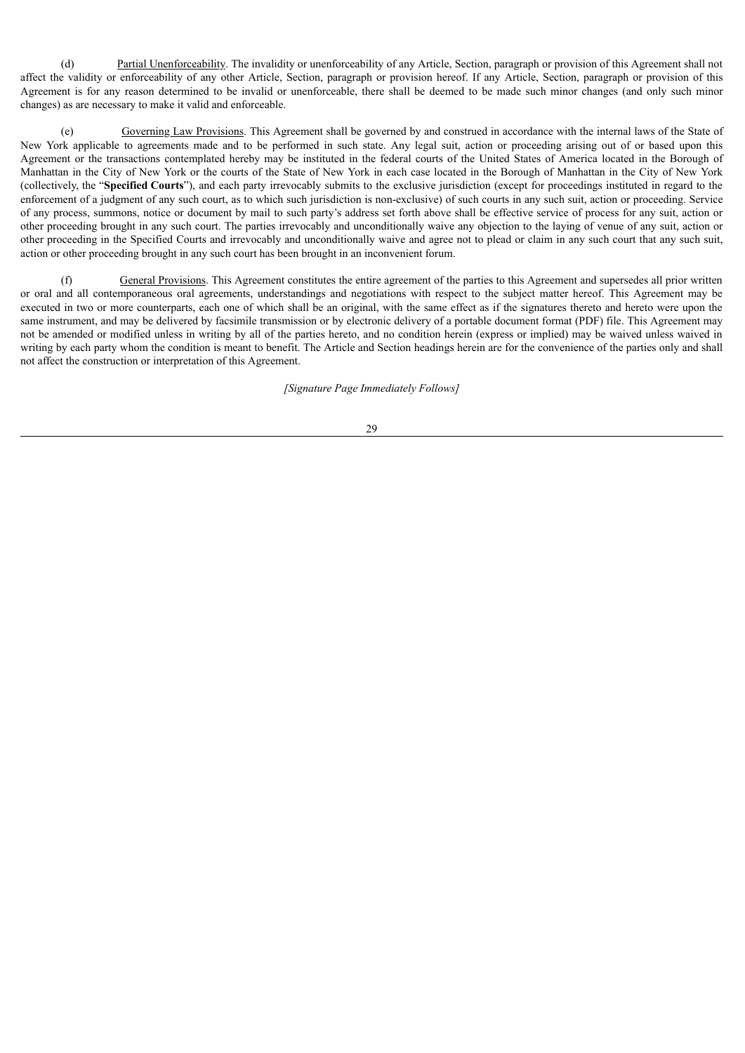(d) Partial Unenforceability. The invalidity or unenforceability of any Article, Section, paragraph or provision of this Agreement shall not affect the validity or enforceability of any other Article, Section, paragraph or provision hereof. If any Article, Section, paragraph or provision of this Agreement is for any reason determined to be invalid or unenforceable, there shall be deemed to be made such minor changes (and only such minor changes) as are necessary to make it valid and enforceable.

(e) Governing Law Provisions. This Agreement shall be governed by and construed in accordance with the internal laws of the State of New York applicable to agreements made and to be performed in such state. Any legal suit, action or proceeding arising out of or based upon this Agreement or the transactions contemplated hereby may be instituted in the federal courts of the United States of America located in the Borough of Manhattan in the City of New York or the courts of the State of New York in each case located in the Borough of Manhattan in the City of New York (collectively, the "**Specified Courts**"), and each party irrevocably submits to the exclusive jurisdiction (except for proceedings instituted in regard to the enforcement of a judgment of any such court, as to which such jurisdiction is non-exclusive) of such courts in any such suit, action or proceeding. Service of any process, summons, notice or document by mail to such party's address set forth above shall be effective service of process for any suit, action or other proceeding brought in any such court. The parties irrevocably and unconditionally waive any objection to the laying of venue of any suit, action or other proceeding in the Specified Courts and irrevocably and unconditionally waive and agree not to plead or claim in any such court that any such suit, action or other proceeding brought in any such court has been brought in an inconvenient forum.

(f) General Provisions. This Agreement constitutes the entire agreement of the parties to this Agreement and supersedes all prior written or oral and all contemporaneous oral agreements, understandings and negotiations with respect to the subject matter hereof. This Agreement may be executed in two or more counterparts, each one of which shall be an original, with the same effect as if the signatures thereto and hereto were upon the same instrument, and may be delivered by facsimile transmission or by electronic delivery of a portable document format (PDF) file. This Agreement may not be amended or modified unless in writing by all of the parties hereto, and no condition herein (express or implied) may be waived unless waived in writing by each party whom the condition is meant to benefit. The Article and Section headings herein are for the convenience of the parties only and shall not affect the construction or interpretation of this Agreement.

*[Signature Page Immediately Follows]*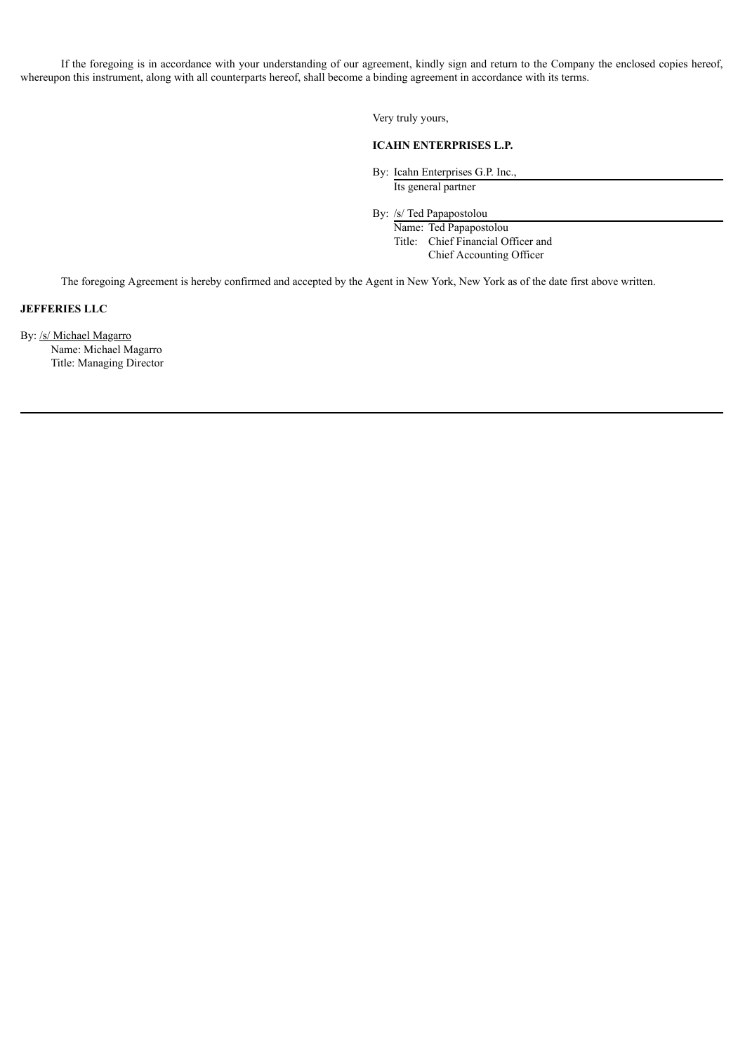If the foregoing is in accordance with your understanding of our agreement, kindly sign and return to the Company the enclosed copies hereof, whereupon this instrument, along with all counterparts hereof, shall become a binding agreement in accordance with its terms.

Very truly yours,

# **ICAHN ENTERPRISES L.P.**

By: Icahn Enterprises G.P. Inc., Its general partner

By: /s/ Ted Papapostolou

Name: Ted Papapostolou Title: Chief Financial Officer and Chief Accounting Officer

The foregoing Agreement is hereby confirmed and accepted by the Agent in New York, New York as of the date first above written.

# **JEFFERIES LLC**

By: /s/ Michael Magarro Name: Michael Magarro Title: Managing Director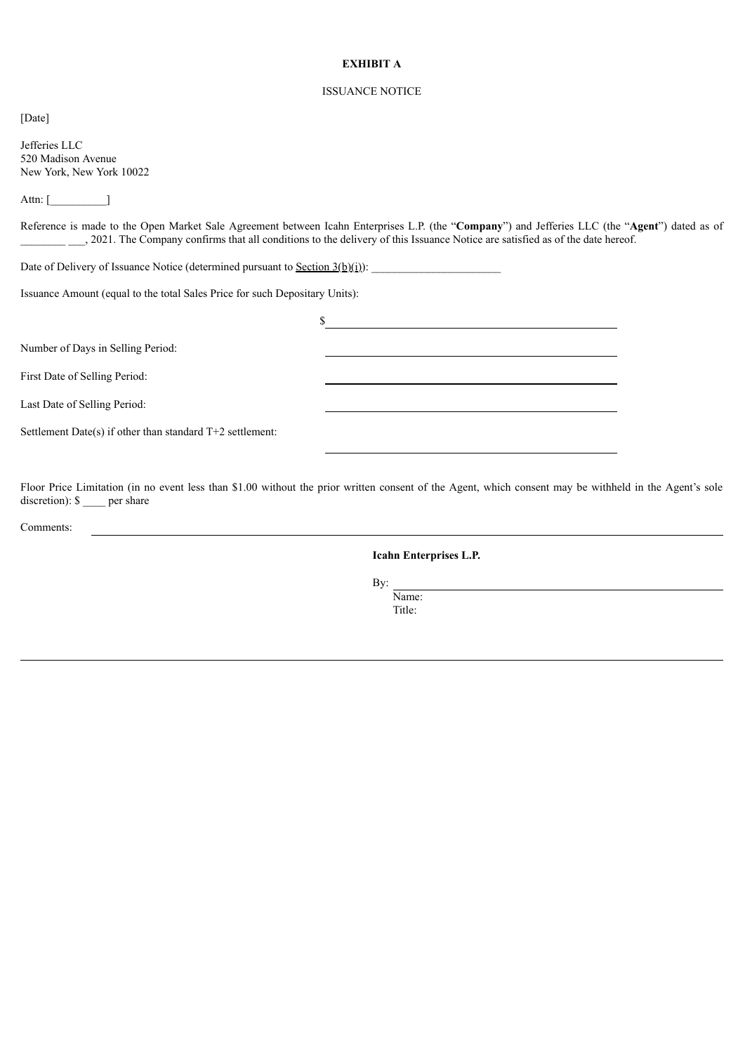# **EXHIBIT A**

# ISSUANCE NOTICE

[Date]

Jefferies LLC 520 Madison Avenue New York, New York 10022

Attn: [\_\_\_\_\_\_\_\_\_\_\_\_\_\_\_]

Reference is made to the Open Market Sale Agreement between Icahn Enterprises L.P. (the "**Company**") and Jefferies LLC (the "**Agent**") dated as of \_\_\_\_, 2021. The Company confirms that all conditions to the delivery of this Issuance Notice are satisfied as of the date hereof.

Date of Delivery of Issuance Notice (determined pursuant to <u>Section 3(b)(i)</u>):

Issuance Amount (equal to the total Sales Price for such Depositary Units):

| Number of Days in Selling Period:                           |  |
|-------------------------------------------------------------|--|
| First Date of Selling Period:                               |  |
| Last Date of Selling Period:                                |  |
| Settlement Date(s) if other than standard $T+2$ settlement: |  |
|                                                             |  |

Floor Price Limitation (in no event less than \$1.00 without the prior written consent of the Agent, which consent may be withheld in the Agent's sole discretion): \$ per share

Comments:

**Icahn Enterprises L.P.**

By:

Name: Title: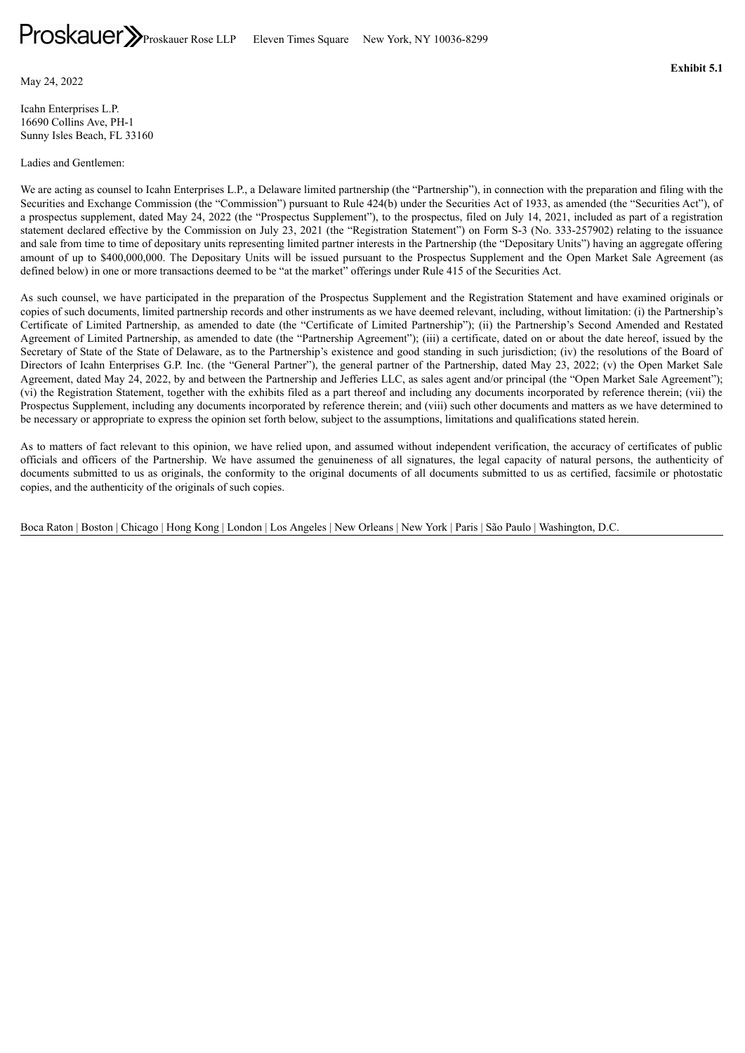<span id="page-34-0"></span>May 24, 2022

Icahn Enterprises L.P. 16690 Collins Ave, PH-1 Sunny Isles Beach, FL 33160

Ladies and Gentlemen:

We are acting as counsel to Icahn Enterprises L.P., a Delaware limited partnership (the "Partnership"), in connection with the preparation and filing with the Securities and Exchange Commission (the "Commission") pursuant to Rule 424(b) under the Securities Act of 1933, as amended (the "Securities Act"), of a prospectus supplement, dated May 24, 2022 (the "Prospectus Supplement"), to the prospectus, filed on July 14, 2021, included as part of a registration statement declared effective by the Commission on July 23, 2021 (the "Registration Statement") on Form S-3 (No. 333-257902) relating to the issuance and sale from time to time of depositary units representing limited partner interests in the Partnership (the "Depositary Units") having an aggregate offering amount of up to \$400,000,000. The Depositary Units will be issued pursuant to the Prospectus Supplement and the Open Market Sale Agreement (as defined below) in one or more transactions deemed to be "at the market" offerings under Rule 415 of the Securities Act.

As such counsel, we have participated in the preparation of the Prospectus Supplement and the Registration Statement and have examined originals or copies of such documents, limited partnership records and other instruments as we have deemed relevant, including, without limitation: (i) the Partnership's Certificate of Limited Partnership, as amended to date (the "Certificate of Limited Partnership"); (ii) the Partnership's Second Amended and Restated Agreement of Limited Partnership, as amended to date (the "Partnership Agreement"); (iii) a certificate, dated on or about the date hereof, issued by the Secretary of State of the State of Delaware, as to the Partnership's existence and good standing in such jurisdiction; (iv) the resolutions of the Board of Directors of Icahn Enterprises G.P. Inc. (the "General Partner"), the general partner of the Partnership, dated May 23, 2022; (v) the Open Market Sale Agreement, dated May 24, 2022, by and between the Partnership and Jefferies LLC, as sales agent and/or principal (the "Open Market Sale Agreement"); (vi) the Registration Statement, together with the exhibits filed as a part thereof and including any documents incorporated by reference therein; (vii) the Prospectus Supplement, including any documents incorporated by reference therein; and (viii) such other documents and matters as we have determined to be necessary or appropriate to express the opinion set forth below, subject to the assumptions, limitations and qualifications stated herein.

As to matters of fact relevant to this opinion, we have relied upon, and assumed without independent verification, the accuracy of certificates of public officials and officers of the Partnership. We have assumed the genuineness of all signatures, the legal capacity of natural persons, the authenticity of documents submitted to us as originals, the conformity to the original documents of all documents submitted to us as certified, facsimile or photostatic copies, and the authenticity of the originals of such copies.

Boca Raton | Boston | Chicago | Hong Kong | London | Los Angeles | New Orleans | New York | Paris | São Paulo | Washington, D.C.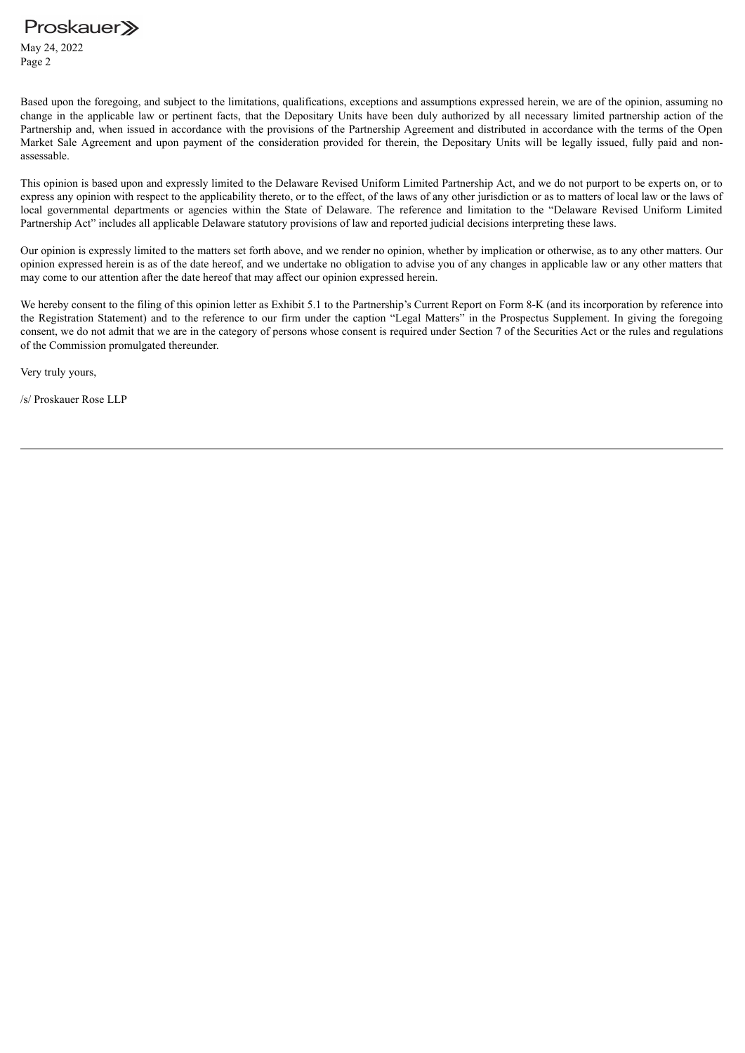May 24, 2022 Page 2

Based upon the foregoing, and subject to the limitations, qualifications, exceptions and assumptions expressed herein, we are of the opinion, assuming no change in the applicable law or pertinent facts, that the Depositary Units have been duly authorized by all necessary limited partnership action of the Partnership and, when issued in accordance with the provisions of the Partnership Agreement and distributed in accordance with the terms of the Open Market Sale Agreement and upon payment of the consideration provided for therein, the Depositary Units will be legally issued, fully paid and nonassessable.

This opinion is based upon and expressly limited to the Delaware Revised Uniform Limited Partnership Act, and we do not purport to be experts on, or to express any opinion with respect to the applicability thereto, or to the effect, of the laws of any other jurisdiction or as to matters of local law or the laws of local governmental departments or agencies within the State of Delaware. The reference and limitation to the "Delaware Revised Uniform Limited Partnership Act" includes all applicable Delaware statutory provisions of law and reported judicial decisions interpreting these laws.

Our opinion is expressly limited to the matters set forth above, and we render no opinion, whether by implication or otherwise, as to any other matters. Our opinion expressed herein is as of the date hereof, and we undertake no obligation to advise you of any changes in applicable law or any other matters that may come to our attention after the date hereof that may affect our opinion expressed herein.

We hereby consent to the filing of this opinion letter as Exhibit 5.1 to the Partnership's Current Report on Form 8-K (and its incorporation by reference into the Registration Statement) and to the reference to our firm under the caption "Legal Matters" in the Prospectus Supplement. In giving the foregoing consent, we do not admit that we are in the category of persons whose consent is required under Section 7 of the Securities Act or the rules and regulations of the Commission promulgated thereunder.

Very truly yours,

/s/ Proskauer Rose LLP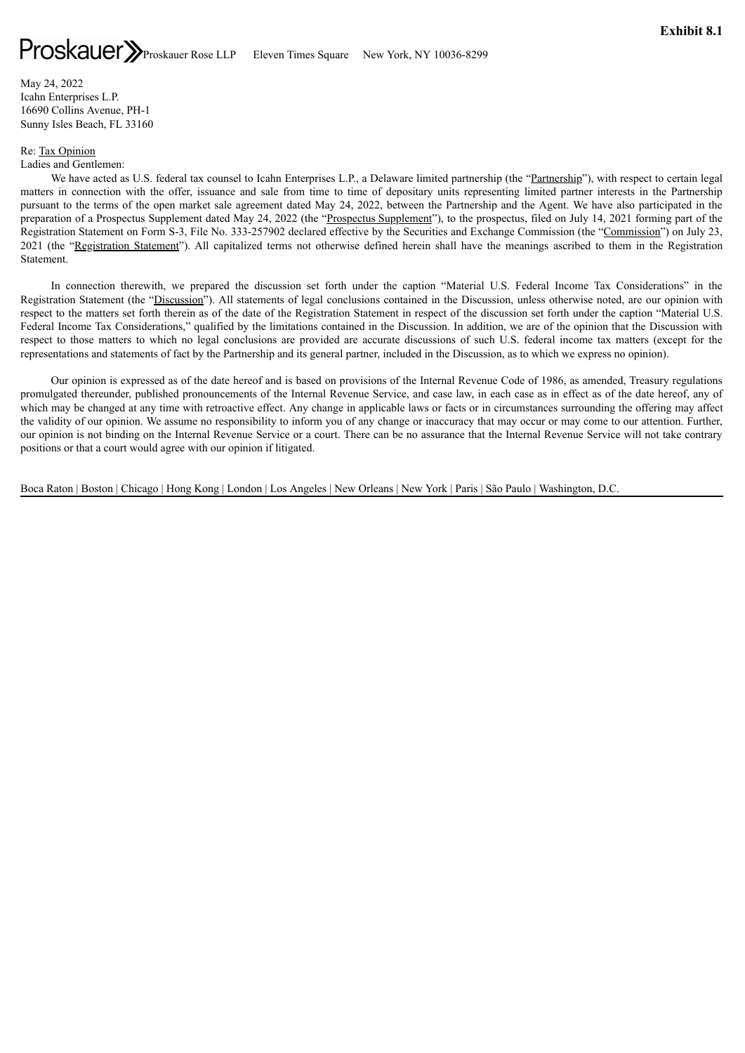<span id="page-36-0"></span>May 24, 2022 Icahn Enterprises L.P. 16690 Collins Avenue, PH-1 Sunny Isles Beach, FL 33160

### Re: Tax Opinion

Ladies and Gentlemen:

We have acted as U.S. federal tax counsel to Icahn Enterprises L.P., a Delaware limited partnership (the "Partnership"), with respect to certain legal matters in connection with the offer, issuance and sale from time to time of depositary units representing limited partner interests in the Partnership pursuant to the terms of the open market sale agreement dated May 24, 2022, between the Partnership and the Agent. We have also participated in the preparation of a Prospectus Supplement dated May 24, 2022 (the "Prospectus Supplement"), to the prospectus, filed on July 14, 2021 forming part of the Registration Statement on Form S-3, File No. 333-257902 declared effective by the Securities and Exchange Commission (the "Commission") on July 23, 2021 (the "Registration Statement"). All capitalized terms not otherwise defined herein shall have the meanings ascribed to them in the Registration Statement.

In connection therewith, we prepared the discussion set forth under the caption "Material U.S. Federal Income Tax Considerations" in the Registration Statement (the "Discussion"). All statements of legal conclusions contained in the Discussion, unless otherwise noted, are our opinion with respect to the matters set forth therein as of the date of the Registration Statement in respect of the discussion set forth under the caption "Material U.S. Federal Income Tax Considerations," qualified by the limitations contained in the Discussion. In addition, we are of the opinion that the Discussion with respect to those matters to which no legal conclusions are provided are accurate discussions of such U.S. federal income tax matters (except for the representations and statements of fact by the Partnership and its general partner, included in the Discussion, as to which we express no opinion).

Our opinion is expressed as of the date hereof and is based on provisions of the Internal Revenue Code of 1986, as amended, Treasury regulations promulgated thereunder, published pronouncements of the Internal Revenue Service, and case law, in each case as in effect as of the date hereof, any of which may be changed at any time with retroactive effect. Any change in applicable laws or facts or in circumstances surrounding the offering may affect the validity of our opinion. We assume no responsibility to inform you of any change or inaccuracy that may occur or may come to our attention. Further, our opinion is not binding on the Internal Revenue Service or a court. There can be no assurance that the Internal Revenue Service will not take contrary positions or that a court would agree with our opinion if litigated.

Boca Raton | Boston | Chicago | Hong Kong | London | Los Angeles | New Orleans | New York | Paris | São Paulo | Washington, D.C.